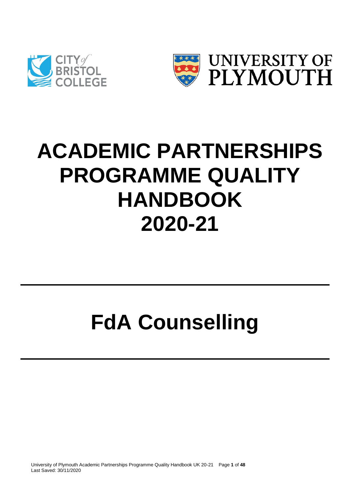



# **ACADEMIC PARTNERSHIPS PROGRAMME QUALITY HANDBOOK 2020-21**

# **FdA Counselling**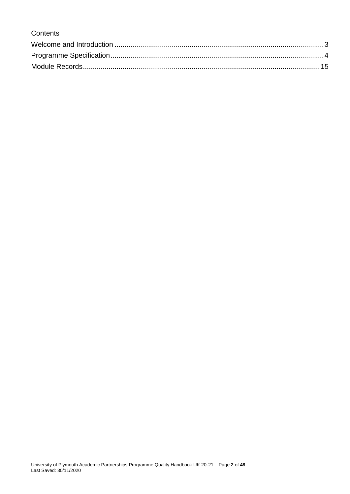# **Contents**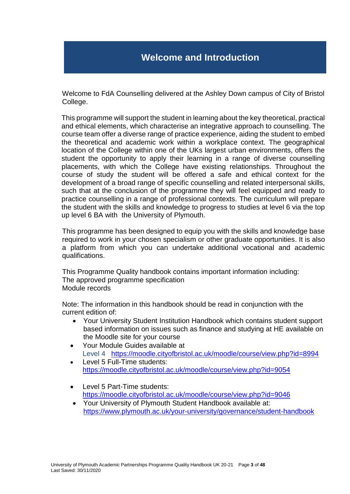# **Welcome and Introduction**

<span id="page-2-0"></span>Welcome to FdA Counselling delivered at the Ashley Down campus of City of Bristol College.

This programme will support the student in learning about the key theoretical, practical and ethical elements, which characterise an integrative approach to counselling. The course team offer a diverse range of practice experience, aiding the student to embed the theoretical and academic work within a workplace context. The geographical location of the College within one of the UKs largest urban environments, offers the student the opportunity to apply their learning in a range of diverse counselling placements, with which the College have existing relationships. Throughout the course of study the student will be offered a safe and ethical context for the development of a broad range of specific counselling and related interpersonal skills, such that at the conclusion of the programme they will feel equipped and ready to practice counselling in a range of professional contexts. The curriculum will prepare the student with the skills and knowledge to progress to studies at level 6 via the top up level 6 BA with the University of Plymouth.

This programme has been designed to equip you with the skills and knowledge base required to work in your chosen specialism or other graduate opportunities. It is also a platform from which you can undertake additional vocational and academic qualifications.

This Programme Quality handbook contains important information including: The approved programme specification Module records

Note: The information in this handbook should be read in conjunction with the current edition of:

- Your University Student Institution Handbook which contains student support based information on issues such as finance and studying at HE available on the Moodle site for your course
- Your Module Guides available at Level 4 <https://moodle.cityofbristol.ac.uk/moodle/course/view.php?id=8994>
- Level 5 Full-Time students: <https://moodle.cityofbristol.ac.uk/moodle/course/view.php?id=9054>
- Level 5 Part-Time students: <https://moodle.cityofbristol.ac.uk/moodle/course/view.php?id=9046>
- Your University of Plymouth Student Handbook available at: <https://www.plymouth.ac.uk/your-university/governance/student-handbook>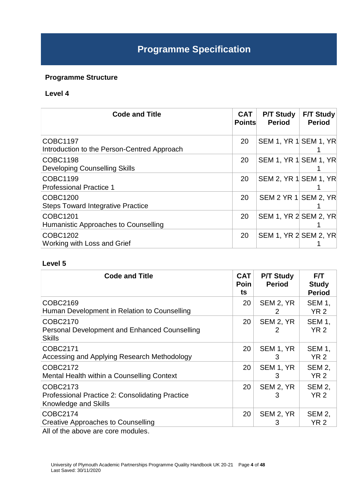# **Programme Specification**

# <span id="page-3-0"></span>**Programme Structure**

# **Level 4**

| <b>Code and Title</b>                                          | <b>CAT</b><br><b>Points</b> | <b>P/T Study</b><br><b>Period</b> | <b>F/T Study</b><br><b>Period</b> |
|----------------------------------------------------------------|-----------------------------|-----------------------------------|-----------------------------------|
| <b>COBC1197</b><br>Introduction to the Person-Centred Approach | 20                          | SEM 1, YR 1 SEM 1, YR             |                                   |
| <b>COBC1198</b><br><b>Developing Counselling Skills</b>        | 20                          | SEM 1, YR 1 SEM 1, YR             |                                   |
| COBC1199<br><b>Professional Practice 1</b>                     | 20                          | SEM 2, YR 1 SEM 1, YR             |                                   |
| COBC1200<br><b>Steps Toward Integrative Practice</b>           | 20                          | SEM 2 YR 1 SEM 2, YR              |                                   |
| COBC1201<br>Humanistic Approaches to Counselling               | 20                          | SEM 1, YR 2 SEM 2, YR             |                                   |
| <b>COBC1202</b><br>Working with Loss and Grief                 | 20                          | SEM 1, YR 2 SEM 2, YR             |                                   |

#### **Level 5**

| <b>Code and Title</b>                                                                      | <b>CAT</b><br><b>Poin</b><br>ts | <b>P/T Study</b><br><b>Period</b> | F/T<br><b>Study</b><br><b>Period</b> |
|--------------------------------------------------------------------------------------------|---------------------------------|-----------------------------------|--------------------------------------|
| COBC2169<br>Human Development in Relation to Counselling                                   | 20                              | SEM 2, YR<br>2                    | <b>SEM 1,</b><br><b>YR 2</b>         |
| COBC2170<br>Personal Development and Enhanced Counselling<br><b>Skills</b>                 | 20                              | SEM 2, YR<br>2                    | <b>SEM 1,</b><br>YR <sub>2</sub>     |
| COBC2171<br>Accessing and Applying Research Methodology                                    | 20                              | SEM 1, YR<br>3                    | <b>SEM 1,</b><br><b>YR 2</b>         |
| COBC2172<br>Mental Health within a Counselling Context                                     | 20                              | SEM 1, YR<br>3                    | <b>SEM 2,</b><br><b>YR 2</b>         |
| COBC2173<br>Professional Practice 2: Consolidating Practice<br>Knowledge and Skills        | 20                              | SEM 2, YR<br>3                    | <b>SEM 2,</b><br><b>YR 2</b>         |
| COBC2174<br><b>Creative Approaches to Counselling</b><br>All of the above are care modules | 20                              | SEM 2, YR<br>3                    | SEM 2,<br><b>YR 2</b>                |

All of the above are core modules.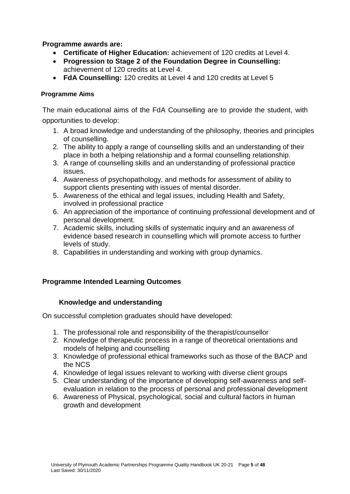# **Programme awards are:**

- **Certificate of Higher Education:** achievement of 120 credits at Level 4.
- **Progression to Stage 2 of the Foundation Degree in Counselling:** achievement of 120 credits at Level 4.
- **FdA Counselling:** 120 credits at Level 4 and 120 credits at Level 5

#### **Programme Aims**

The main educational aims of the FdA Counselling are to provide the student, with opportunities to develop:

- 1. A broad knowledge and understanding of the philosophy, theories and principles of counselling.
- 2. The ability to apply a range of counselling skills and an understanding of their place in both a helping relationship and a formal counselling relationship.
- 3. A range of counselling skills and an understanding of professional practice issues.
- 4. Awareness of psychopathology, and methods for assessment of ability to support clients presenting with issues of mental disorder.
- 5. Awareness of the ethical and legal issues, including Health and Safety, involved in professional practice
- 6. An appreciation of the importance of continuing professional development and of personal development.
- 7. Academic skills, including skills of systematic inquiry and an awareness of evidence based research in counselling which will promote access to further levels of study.
- 8. Capabilities in understanding and working with group dynamics.

# **Programme Intended Learning Outcomes**

#### **Knowledge and understanding**

On successful completion graduates should have developed:

- 1. The professional role and responsibility of the therapist/counsellor
- 2. Knowledge of therapeutic process in a range of theoretical orientations and models of helping and counselling
- 3. Knowledge of professional ethical frameworks such as those of the BACP and the NCS
- 4. Knowledge of legal issues relevant to working with diverse client groups
- 5. Clear understanding of the importance of developing self-awareness and selfevaluation in relation to the process of personal and professional development
- 6. Awareness of Physical, psychological, social and cultural factors in human growth and development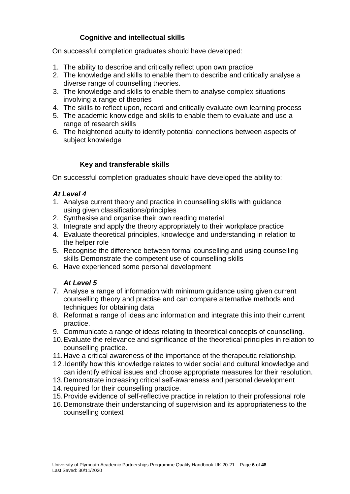# **Cognitive and intellectual skills**

On successful completion graduates should have developed:

- 1. The ability to describe and critically reflect upon own practice
- 2. The knowledge and skills to enable them to describe and critically analyse a diverse range of counselling theories.
- 3. The knowledge and skills to enable them to analyse complex situations involving a range of theories
- 4. The skills to reflect upon, record and critically evaluate own learning process
- 5. The academic knowledge and skills to enable them to evaluate and use a range of research skills
- 6. The heightened acuity to identify potential connections between aspects of subject knowledge

# **Key and transferable skills**

On successful completion graduates should have developed the ability to:

# *At Level 4*

- 1. Analyse current theory and practice in counselling skills with guidance using given classifications/principles
- 2. Synthesise and organise their own reading material
- 3. Integrate and apply the theory appropriately to their workplace practice
- 4. Evaluate theoretical principles, knowledge and understanding in relation to the helper role
- 5. Recognise the difference between formal counselling and using counselling skills Demonstrate the competent use of counselling skills
- 6. Have experienced some personal development

#### *At Level 5*

- 7. Analyse a range of information with minimum guidance using given current counselling theory and practise and can compare alternative methods and techniques for obtaining data
- 8. Reformat a range of ideas and information and integrate this into their current practice.
- 9. Communicate a range of ideas relating to theoretical concepts of counselling.
- 10.Evaluate the relevance and significance of the theoretical principles in relation to counselling practice.
- 11.Have a critical awareness of the importance of the therapeutic relationship.
- 12.Identify how this knowledge relates to wider social and cultural knowledge and can identify ethical issues and choose appropriate measures for their resolution.
- 13.Demonstrate increasing critical self-awareness and personal development
- 14.required for their counselling practice.
- 15.Provide evidence of self-reflective practice in relation to their professional role
- 16.Demonstrate their understanding of supervision and its appropriateness to the counselling context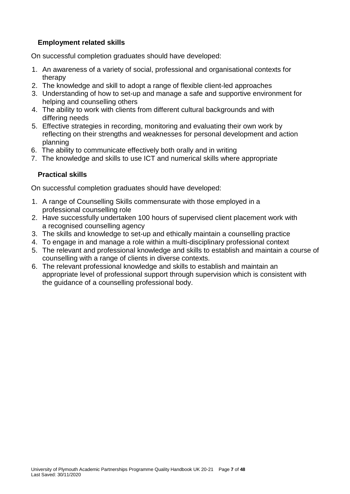# **Employment related skills**

On successful completion graduates should have developed:

- 1. An awareness of a variety of social, professional and organisational contexts for therapy
- 2. The knowledge and skill to adopt a range of flexible client-led approaches
- 3. Understanding of how to set-up and manage a safe and supportive environment for helping and counselling others
- 4. The ability to work with clients from different cultural backgrounds and with differing needs
- 5. Effective strategies in recording, monitoring and evaluating their own work by reflecting on their strengths and weaknesses for personal development and action planning
- 6. The ability to communicate effectively both orally and in writing
- 7. The knowledge and skills to use ICT and numerical skills where appropriate

# **Practical skills**

On successful completion graduates should have developed:

- 1. A range of Counselling Skills commensurate with those employed in a professional counselling role
- 2. Have successfully undertaken 100 hours of supervised client placement work with a recognised counselling agency
- 3. The skills and knowledge to set-up and ethically maintain a counselling practice
- 4. To engage in and manage a role within a multi-disciplinary professional context
- 5. The relevant and professional knowledge and skills to establish and maintain a course of counselling with a range of clients in diverse contexts.
- 6. The relevant professional knowledge and skills to establish and maintain an appropriate level of professional support through supervision which is consistent with the guidance of a counselling professional body.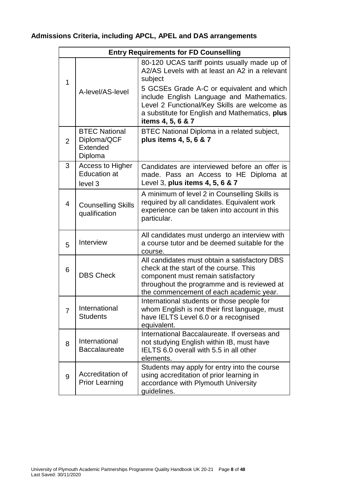# **Admissions Criteria, including APCL, APEL and DAS arrangements**

|                       | <b>Entry Requirements for FD Counselling</b>               |                                                                                                                                                                                                                         |  |  |
|-----------------------|------------------------------------------------------------|-------------------------------------------------------------------------------------------------------------------------------------------------------------------------------------------------------------------------|--|--|
| 1<br>A-level/AS-level |                                                            | 80-120 UCAS tariff points usually made up of<br>A2/AS Levels with at least an A2 in a relevant<br>subject                                                                                                               |  |  |
|                       |                                                            | 5 GCSEs Grade A-C or equivalent and which<br>include English Language and Mathematics.<br>Level 2 Functional/Key Skills are welcome as<br>a substitute for English and Mathematics, plus<br>items 4, 5, 6 & 7           |  |  |
| $\overline{2}$        | <b>BTEC National</b><br>Diploma/QCF<br>Extended<br>Diploma | BTEC National Diploma in a related subject,<br>plus items 4, 5, 6 & 7                                                                                                                                                   |  |  |
| 3                     | <b>Access to Higher</b><br><b>Education at</b><br>level 3  | Candidates are interviewed before an offer is<br>made. Pass an Access to HE Diploma at<br>Level 3, plus items 4, 5, 6 & 7                                                                                               |  |  |
| 4                     | <b>Counselling Skills</b><br>qualification                 | A minimum of level 2 in Counselling Skills is<br>required by all candidates. Equivalent work<br>experience can be taken into account in this<br>particular.                                                             |  |  |
| 5                     | Interview                                                  | All candidates must undergo an interview with<br>a course tutor and be deemed suitable for the<br>course.                                                                                                               |  |  |
| 6                     | <b>DBS Check</b>                                           | All candidates must obtain a satisfactory DBS<br>check at the start of the course. This<br>component must remain satisfactory<br>throughout the programme and is reviewed at<br>the commencement of each academic year. |  |  |
|                       | International<br><b>Students</b>                           | International students or those people for<br>whom English is not their first language, must<br>have IELTS Level 6.0 or a recognised<br>equivalent.                                                                     |  |  |
| 8                     | International<br><b>Baccalaureate</b>                      | International Baccalaureate. If overseas and<br>not studying English within IB, must have<br>IELTS 6.0 overall with 5.5 in all other<br>elements.                                                                       |  |  |
| 9                     | Accreditation of<br><b>Prior Learning</b>                  | Students may apply for entry into the course<br>using accreditation of prior learning in<br>accordance with Plymouth University<br>guidelines.                                                                          |  |  |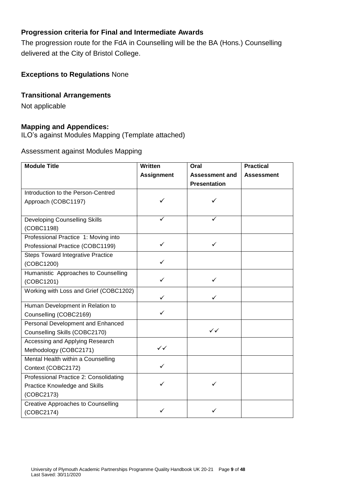# **Progression criteria for Final and Intermediate Awards**

The progression route for the FdA in Counselling will be the BA (Hons.) Counselling delivered at the City of Bristol College.

# **Exceptions to Regulations** None

# **Transitional Arrangements**

Not applicable

# **Mapping and Appendices:**

ILO's against Modules Mapping (Template attached)

# Assessment against Modules Mapping

| <b>Module Title</b>                       | Written           | Oral                  | <b>Practical</b>  |
|-------------------------------------------|-------------------|-----------------------|-------------------|
|                                           | <b>Assignment</b> | <b>Assessment and</b> | <b>Assessment</b> |
|                                           |                   | <b>Presentation</b>   |                   |
| Introduction to the Person-Centred        |                   |                       |                   |
| Approach (COBC1197)                       |                   |                       |                   |
|                                           |                   |                       |                   |
| <b>Developing Counselling Skills</b>      |                   |                       |                   |
| (COBC1198)                                |                   |                       |                   |
| Professional Practice 1: Moving into      |                   |                       |                   |
| Professional Practice (COBC1199)          | ✓                 | ✓                     |                   |
| <b>Steps Toward Integrative Practice</b>  |                   |                       |                   |
| (COBC1200)                                | ✓                 |                       |                   |
| Humanistic Approaches to Counselling      |                   |                       |                   |
| (COBC1201)                                | ✓                 | ✓                     |                   |
| Working with Loss and Grief (COBC1202)    |                   |                       |                   |
|                                           | ✓                 | ✓                     |                   |
| Human Development in Relation to          | ✓                 |                       |                   |
| Counselling (COBC2169)                    |                   |                       |                   |
| Personal Development and Enhanced         |                   |                       |                   |
| Counselling Skills (COBC2170)             |                   | $\checkmark$          |                   |
| Accessing and Applying Research           |                   |                       |                   |
| Methodology (COBC2171)                    | $\checkmark$      |                       |                   |
| Mental Health within a Counselling        |                   |                       |                   |
| Context (COBC2172)                        | ✓                 |                       |                   |
| Professional Practice 2: Consolidating    |                   |                       |                   |
| Practice Knowledge and Skills             |                   | ✓                     |                   |
| (COBC2173)                                |                   |                       |                   |
| <b>Creative Approaches to Counselling</b> |                   |                       |                   |
| (COBC2174)                                |                   |                       |                   |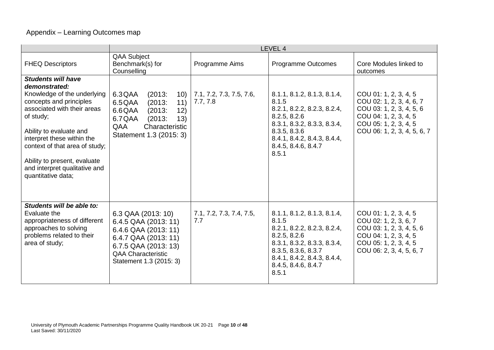# Appendix – Learning Outcomes map

|                                                                                                                                                                                                                                                                                                                                    | LEVEL 4                                                                                                                                                                    |                                      |                                                                                                                                                                                                          |                                                                                                                                                                |
|------------------------------------------------------------------------------------------------------------------------------------------------------------------------------------------------------------------------------------------------------------------------------------------------------------------------------------|----------------------------------------------------------------------------------------------------------------------------------------------------------------------------|--------------------------------------|----------------------------------------------------------------------------------------------------------------------------------------------------------------------------------------------------------|----------------------------------------------------------------------------------------------------------------------------------------------------------------|
| <b>FHEQ Descriptors</b>                                                                                                                                                                                                                                                                                                            | <b>QAA Subject</b><br>Benchmark(s) for<br>Counselling                                                                                                                      | Programme Aims                       | Programme Outcomes                                                                                                                                                                                       | Core Modules linked to<br>outcomes                                                                                                                             |
| <b>Students will have</b><br>demonstrated:<br>Knowledge of the underlying<br>concepts and principles<br>associated with their areas<br>of study;<br>Ability to evaluate and<br>interpret these within the<br>context of that area of study;<br>Ability to present, evaluate<br>and interpret qualitative and<br>quantitative data; | 6.3QAA<br>(2013)<br>10)<br>6.5 QAA<br>(2013)<br>11)<br>6.6QAA<br>(2013)<br>12)<br>6.7QAA<br>(2013)<br>13)<br>QAA<br>Characteristic<br>Statement 1.3 (2015: 3)              | 7.1, 7.2, 7.3, 7.5, 7.6,<br>7.7, 7.8 | 8.1.1, 8.1.2, 8.1.3, 8.1.4,<br>8.1.5<br>8.2.1, 8.2.2, 8.2.3, 8.2.4,<br>8.2.5, 8.2.6<br>8.3.1, 8.3.2, 8.3.3, 8.3.4,<br>8.3.5, 8.3.6<br>8.4.1, 8.4.2, 8.4.3, 8.4.4,<br>8.4.5, 8.4.6, 8.4.7<br>8.5.1        | COU 01: 1, 2, 3, 4, 5<br>COU 02: 1, 2, 3, 4, 6, 7<br>COU 03: 1, 2, 3, 4, 5, 6<br>COU 04: 1, 2, 3, 4, 5<br>COU 05: 1, 2, 3, 4, 5<br>COU 06: 1, 2, 3, 4, 5, 6, 7 |
| Students will be able to:<br>Evaluate the<br>appropriateness of different<br>approaches to solving<br>problems related to their<br>area of study;                                                                                                                                                                                  | 6.3 QAA (2013: 10)<br>6.4.5 QAA (2013: 11)<br>6.4.6 QAA (2013: 11)<br>6.4.7 QAA (2013: 11)<br>6.7.5 QAA (2013: 13)<br><b>QAA Characteristic</b><br>Statement 1.3 (2015: 3) | 7.1, 7.2, 7.3, 7.4, 7.5,<br>7.7      | 8.1.1, 8.1.2, 8.1.3, 8.1.4,<br>8.1.5<br>8.2.1, 8.2.2, 8.2.3, 8.2.4,<br>8.2.5, 8.2.6<br>8.3.1, 8.3.2, 8.3.3, 8.3.4,<br>8.3.5, 8.3.6, 8.3.7<br>8.4.1, 8.4.2, 8.4.3, 8.4.4,<br>8.4.5, 8.4.6, 8.4.7<br>8.5.1 | COU 01: 1, 2, 3, 4, 5<br>COU 02: 1, 2, 3, 6, 7<br>COU 03: 1, 2, 3, 4, 5, 6<br>COU 04: 1, 2, 3, 4, 5<br>COU 05: 1, 2, 3, 4, 5<br>COU 06: 2, 3, 4, 5, 6, 7       |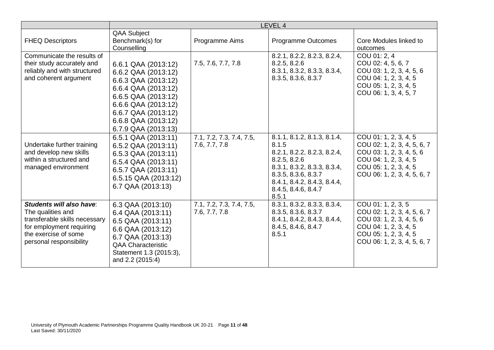|                                                                                                                                                               | LEVEL 4                                                                                                                                                                                                     |                                           |                                                                                                                                                                                                          |                                                                                                                                                                   |
|---------------------------------------------------------------------------------------------------------------------------------------------------------------|-------------------------------------------------------------------------------------------------------------------------------------------------------------------------------------------------------------|-------------------------------------------|----------------------------------------------------------------------------------------------------------------------------------------------------------------------------------------------------------|-------------------------------------------------------------------------------------------------------------------------------------------------------------------|
| <b>FHEQ Descriptors</b>                                                                                                                                       | <b>QAA Subject</b><br>Benchmark(s) for<br>Counselling                                                                                                                                                       | Programme Aims                            | <b>Programme Outcomes</b>                                                                                                                                                                                | Core Modules linked to<br>outcomes                                                                                                                                |
| Communicate the results of<br>their study accurately and<br>reliably and with structured<br>and coherent argument                                             | 6.6.1 QAA (2013:12)<br>6.6.2 QAA (2013:12)<br>6.6.3 QAA (2013:12)<br>6.6.4 QAA (2013:12)<br>6.6.5 QAA (2013:12)<br>6.6.6 QAA (2013:12)<br>6.6.7 QAA (2013:12)<br>6.6.8 QAA (2013:12)<br>6.7.9 QAA (2013:13) | 7.5, 7.6, 7.7, 7.8                        | 8.2.1, 8.2.2, 8.2.3, 8.2.4,<br>8.2.5, 8.2.6<br>8.3.1, 8.3.2, 8.3.3, 8.3.4,<br>8.3.5, 8.3.6, 8.3.7                                                                                                        | COU 01: 2, 4<br>COU 02: 4, 5, 6, 7<br>COU 03: 1, 2, 3, 4, 5, 6<br>COU 04: 1, 2, 3, 4, 5<br>COU 05: 1, 2, 3, 4, 5<br>COU 06: 1, 3, 4, 5, 7                         |
| Undertake further training<br>and develop new skills<br>within a structured and<br>managed environment                                                        | 6.5.1 QAA (2013:11)<br>6.5.2 QAA (2013:11)<br>6.5.3 QAA (2013:11)<br>6.5.4 QAA (2013:11)<br>6.5.7 QAA (2013:11)<br>6.5.15 QAA (2013:12)<br>6.7 QAA (2013:13)                                                | 7.1, 7.2, 7.3, 7.4, 7.5,<br>7.6, 7.7, 7.8 | 8.1.1, 8.1.2, 8.1.3, 8.1.4,<br>8.1.5<br>8.2.1, 8.2.2, 8.2.3, 8.2.4,<br>8.2.5, 8.2.6<br>8.3.1, 8.3.2, 8.3.3, 8.3.4,<br>8.3.5, 8.3.6, 8.3.7<br>8.4.1, 8.4.2, 8.4.3, 8.4.4,<br>8.4.5, 8.4.6, 8.4.7<br>8.5.1 | COU 01: 1, 2, 3, 4, 5<br>COU 02: 1, 2, 3, 4, 5, 6, 7<br>COU 03: 1, 2, 3, 4, 5, 6<br>COU 04: 1, 2, 3, 4, 5<br>COU 05: 1, 2, 3, 4, 5<br>COU 06: 1, 2, 3, 4, 5, 6, 7 |
| Students will also have:<br>The qualities and<br>transferable skills necessary<br>for employment requiring<br>the exercise of some<br>personal responsibility | 6.3 QAA (2013:10)<br>6.4 QAA (2013:11)<br>6.5 QAA (2013:11)<br>6.6 QAA (2013:12)<br>6.7 QAA (2013:13)<br><b>QAA Characteristic</b><br>Statement 1.3 (2015:3),<br>and 2.2 (2015:4)                           | 7.1, 7.2, 7.3, 7.4, 7.5,<br>7.6, 7.7, 7.8 | 8.3.1, 8.3.2, 8.3.3, 8.3.4,<br>8.3.5, 8.3.6, 8.3.7<br>8.4.1, 8.4.2, 8.4.3, 8.4.4,<br>8.4.5, 8.4.6, 8.4.7<br>8.5.1                                                                                        | COU 01: 1, 2, 3, 5<br>COU 02: 1, 2, 3, 4, 5, 6, 7<br>COU 03: 1, 2, 3, 4, 5, 6<br>COU 04: 1, 2, 3, 4, 5<br>COU 05: 1, 2, 3, 4, 5<br>COU 06: 1, 2, 3, 4, 5, 6, 7    |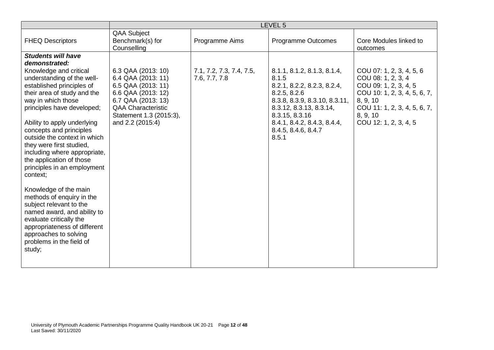|                                                                                                                                                                                                                                                                                                                                                                                                                                                                                                                                                                                                                                                                                           |                                                                                                                                                                                        |                                           | LEVEL <sub>5</sub>                                                                                                                                                                                                               |                                                                                                                                                                                          |
|-------------------------------------------------------------------------------------------------------------------------------------------------------------------------------------------------------------------------------------------------------------------------------------------------------------------------------------------------------------------------------------------------------------------------------------------------------------------------------------------------------------------------------------------------------------------------------------------------------------------------------------------------------------------------------------------|----------------------------------------------------------------------------------------------------------------------------------------------------------------------------------------|-------------------------------------------|----------------------------------------------------------------------------------------------------------------------------------------------------------------------------------------------------------------------------------|------------------------------------------------------------------------------------------------------------------------------------------------------------------------------------------|
| <b>FHEQ Descriptors</b>                                                                                                                                                                                                                                                                                                                                                                                                                                                                                                                                                                                                                                                                   | <b>QAA Subject</b><br>Benchmark(s) for<br>Counselling                                                                                                                                  | Programme Aims                            | <b>Programme Outcomes</b>                                                                                                                                                                                                        | Core Modules linked to<br>outcomes                                                                                                                                                       |
| <b>Students will have</b><br>demonstrated:<br>Knowledge and critical<br>understanding of the well-<br>established principles of<br>their area of study and the<br>way in which those<br>principles have developed;<br>Ability to apply underlying<br>concepts and principles<br>outside the context in which<br>they were first studied,<br>including where appropriate,<br>the application of those<br>principles in an employment<br>context;<br>Knowledge of the main<br>methods of enquiry in the<br>subject relevant to the<br>named award, and ability to<br>evaluate critically the<br>appropriateness of different<br>approaches to solving<br>problems in the field of<br>study; | 6.3 QAA (2013: 10)<br>6.4 QAA (2013: 11)<br>6.5 QAA (2013: 11)<br>6.6 QAA (2013: 12)<br>6.7 QAA (2013: 13)<br><b>QAA Characteristic</b><br>Statement 1.3 (2015:3),<br>and 2.2 (2015:4) | 7.1, 7.2, 7.3, 7.4, 7.5,<br>7.6, 7.7, 7.8 | 8.1.1, 8.1.2, 8.1.3, 8.1.4,<br>8.1.5<br>8.2.1, 8.2.2, 8.2.3, 8.2.4,<br>8.2.5, 8.2.6<br>8.3.8, 8.3.9, 8.3.10, 8.3.11,<br>8.3.12, 8.3.13, 8.3.14,<br>8.3.15, 8.3.16<br>8.4.1, 8.4.2, 8.4.3, 8.4.4,<br>8.4.5, 8.4.6, 8.4.7<br>8.5.1 | COU 07: 1, 2, 3, 4, 5, 6<br>COU 08: 1, 2, 3, 4<br>COU 09: 1, 2, 3, 4, 5<br>COU 10: 1, 2, 3, 4, 5, 6, 7,<br>8, 9, 10<br>COU 11: 1, 2, 3, 4, 5, 6, 7,<br>8, 9, 10<br>COU 12: 1, 2, 3, 4, 5 |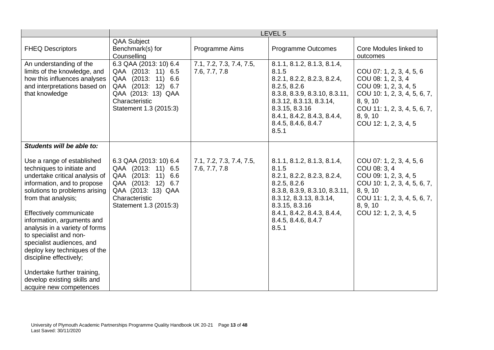|                                                                                                                                                                                                                                                                                                                                                                                                | LEVEL 5                                                                                                                                                       |                                           |                                                                                                                                                                                                                                  |                                                                                                                                                                                          |
|------------------------------------------------------------------------------------------------------------------------------------------------------------------------------------------------------------------------------------------------------------------------------------------------------------------------------------------------------------------------------------------------|---------------------------------------------------------------------------------------------------------------------------------------------------------------|-------------------------------------------|----------------------------------------------------------------------------------------------------------------------------------------------------------------------------------------------------------------------------------|------------------------------------------------------------------------------------------------------------------------------------------------------------------------------------------|
| <b>FHEQ Descriptors</b>                                                                                                                                                                                                                                                                                                                                                                        | <b>QAA Subject</b><br>Benchmark(s) for<br>Counselling                                                                                                         | Programme Aims                            | Programme Outcomes                                                                                                                                                                                                               | Core Modules linked to<br>outcomes                                                                                                                                                       |
| An understanding of the<br>limits of the knowledge, and<br>how this influences analyses<br>and interpretations based on<br>that knowledge                                                                                                                                                                                                                                                      | 6.3 QAA (2013: 10) 6.4<br>QAA (2013: 11) 6.5<br>QAA (2013: 11)<br>6.6<br>QAA (2013: 12) 6.7<br>QAA (2013: 13) QAA<br>Characteristic<br>Statement 1.3 (2015:3) | 7.1, 7.2, 7.3, 7.4, 7.5,<br>7.6, 7.7, 7.8 | 8.1.1, 8.1.2, 8.1.3, 8.1.4,<br>8.1.5<br>8.2.1, 8.2.2, 8.2.3, 8.2.4,<br>8.2.5, 8.2.6<br>8.3.8, 8.3.9, 8.3.10, 8.3.11,<br>8.3.12, 8.3.13, 8.3.14,<br>8.3.15, 8.3.16<br>8.4.1, 8.4.2, 8.4.3, 8.4.4,<br>8.4.5, 8.4.6, 8.4.7<br>8.5.1 | COU 07: 1, 2, 3, 4, 5, 6<br>COU 08: 1, 2, 3, 4<br>COU 09: 1, 2, 3, 4, 5<br>COU 10: 1, 2, 3, 4, 5, 6, 7,<br>8, 9, 10<br>COU 11: 1, 2, 3, 4, 5, 6, 7,<br>8, 9, 10<br>COU 12: 1, 2, 3, 4, 5 |
| Students will be able to:                                                                                                                                                                                                                                                                                                                                                                      |                                                                                                                                                               |                                           |                                                                                                                                                                                                                                  |                                                                                                                                                                                          |
| Use a range of established<br>techniques to initiate and<br>undertake critical analysis of<br>information, and to propose<br>solutions to problems arising<br>from that analysis;<br>Effectively communicate<br>information, arguments and<br>analysis in a variety of forms<br>to specialist and non-<br>specialist audiences, and<br>deploy key techniques of the<br>discipline effectively; | 6.3 QAA (2013: 10) 6.4<br>QAA (2013: 11) 6.5<br>QAA (2013: 11) 6.6<br>QAA (2013: 12) 6.7<br>QAA (2013: 13) QAA<br>Characteristic<br>Statement 1.3 (2015:3)    | 7.1, 7.2, 7.3, 7.4, 7.5,<br>7.6, 7.7, 7.8 | 8.1.1, 8.1.2, 8.1.3, 8.1.4,<br>8.1.5<br>8.2.1, 8.2.2, 8.2.3, 8.2.4,<br>8.2.5, 8.2.6<br>8.3.8, 8.3.9, 8.3.10, 8.3.11,<br>8.3.12, 8.3.13, 8.3.14,<br>8.3.15, 8.3.16<br>8.4.1, 8.4.2, 8.4.3, 8.4.4,<br>8.4.5, 8.4.6, 8.4.7<br>8.5.1 | COU 07: 1, 2, 3, 4, 5, 6<br>COU 08: 3, 4<br>COU 09: 1, 2, 3, 4, 5<br>COU 10: 1, 2, 3, 4, 5, 6, 7,<br>8, 9, 10<br>COU 11: 1, 2, 3, 4, 5, 6, 7,<br>8, 9, 10<br>COU 12: 1, 2, 3, 4, 5       |
| Undertake further training,<br>develop existing skills and<br>acquire new competences                                                                                                                                                                                                                                                                                                          |                                                                                                                                                               |                                           |                                                                                                                                                                                                                                  |                                                                                                                                                                                          |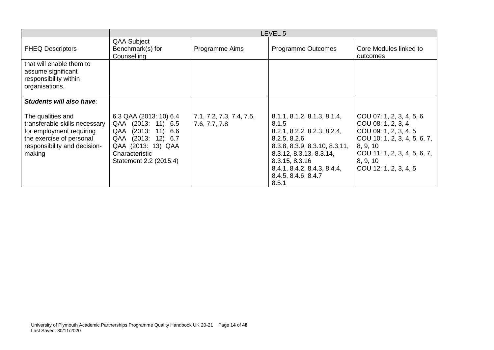|                                                                                                                                                      | LEVEL 5                                                                                                                                                       |                                           |                                                                                                                                                                                                                                  |                                                                                                                                                                                          |
|------------------------------------------------------------------------------------------------------------------------------------------------------|---------------------------------------------------------------------------------------------------------------------------------------------------------------|-------------------------------------------|----------------------------------------------------------------------------------------------------------------------------------------------------------------------------------------------------------------------------------|------------------------------------------------------------------------------------------------------------------------------------------------------------------------------------------|
| <b>FHEQ Descriptors</b>                                                                                                                              | <b>QAA Subject</b><br>Benchmark(s) for<br>Counselling                                                                                                         | Programme Aims                            | <b>Programme Outcomes</b>                                                                                                                                                                                                        | Core Modules linked to<br>outcomes                                                                                                                                                       |
| that will enable them to<br>assume significant<br>responsibility within<br>organisations.                                                            |                                                                                                                                                               |                                           |                                                                                                                                                                                                                                  |                                                                                                                                                                                          |
| Students will also have:                                                                                                                             |                                                                                                                                                               |                                           |                                                                                                                                                                                                                                  |                                                                                                                                                                                          |
| The qualities and<br>transferable skills necessary<br>for employment requiring<br>the exercise of personal<br>responsibility and decision-<br>making | 6.3 QAA (2013: 10) 6.4<br>QAA (2013: 11) 6.5<br>QAA (2013: 11)<br>6.6<br>QAA (2013: 12) 6.7<br>QAA (2013: 13) QAA<br>Characteristic<br>Statement 2.2 (2015:4) | 7.1, 7.2, 7.3, 7.4, 7.5,<br>7.6, 7.7, 7.8 | 8.1.1, 8.1.2, 8.1.3, 8.1.4,<br>8.1.5<br>8.2.1, 8.2.2, 8.2.3, 8.2.4,<br>8.2.5, 8.2.6<br>8.3.8, 8.3.9, 8.3.10, 8.3.11,<br>8.3.12, 8.3.13, 8.3.14,<br>8.3.15, 8.3.16<br>8.4.1, 8.4.2, 8.4.3, 8.4.4,<br>8.4.5, 8.4.6, 8.4.7<br>8.5.1 | COU 07: 1, 2, 3, 4, 5, 6<br>COU 08: 1, 2, 3, 4<br>COU 09: 1, 2, 3, 4, 5<br>COU 10: 1, 2, 3, 4, 5, 6, 7,<br>8, 9, 10<br>COU 11: 1, 2, 3, 4, 5, 6, 7,<br>8, 9, 10<br>COU 12: 1, 2, 3, 4, 5 |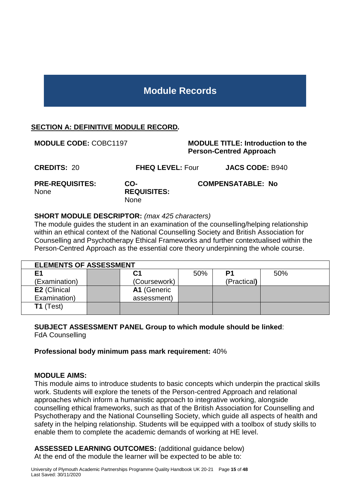# **Module Records**

# <span id="page-14-0"></span>**SECTION A: DEFINITIVE MODULE RECORD***.*

**MODULE CODE:** COBC1197 **MODULE TITLE: Introduction to the Person-Centred Approach CREDITS:** 20 **FHEQ LEVEL:** Four **JACS CODE:** B940 **PRE-REQUISITES:**  None **CO-REQUISITES: COMPENSATABLE: No**

#### **SHORT MODULE DESCRIPTOR:** *(max 425 characters)*

None

The module guides the student in an examination of the counselling/helping relationship within an ethical context of the National Counselling Society and British Association for Counselling and Psychotherapy Ethical Frameworks and further contextualised within the Person-Centred Approach as the essential core theory underpinning the whole course.

|                     | <b>ELEMENTS OF ASSESSMENT</b> |              |     |             |     |  |  |
|---------------------|-------------------------------|--------------|-----|-------------|-----|--|--|
| E <sub>1</sub>      |                               | С1           | 50% | P1          | 50% |  |  |
| (Examination)       |                               | (Coursework) |     | (Practical) |     |  |  |
| <b>E2</b> (Clinical |                               | A1 (Generic  |     |             |     |  |  |
| Examination)        |                               | assessment)  |     |             |     |  |  |
| $T1$ (Test)         |                               |              |     |             |     |  |  |

# **SUBJECT ASSESSMENT PANEL Group to which module should be linked**:

FdA Counselling

**Professional body minimum pass mark requirement:** 40%

#### **MODULE AIMS:**

This module aims to introduce students to basic concepts which underpin the practical skills work. Students will explore the tenets of the Person-centred Approach and relational approaches which inform a humanistic approach to integrative working, alongside counselling ethical frameworks, such as that of the British Association for Counselling and Psychotherapy and the National Counselling Society, which guide all aspects of health and safety in the helping relationship. Students will be equipped with a toolbox of study skills to enable them to complete the academic demands of working at HE level.

**ASSESSED LEARNING OUTCOMES:** (additional guidance below) At the end of the module the learner will be expected to be able to: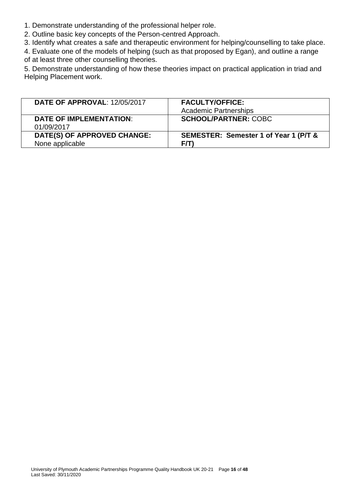1. Demonstrate understanding of the professional helper role.

2. Outline basic key concepts of the Person-centred Approach.

3. Identify what creates a safe and therapeutic environment for helping/counselling to take place.

4. Evaluate one of the models of helping (such as that proposed by Egan), and outline a range of at least three other counselling theories.

5. Demonstrate understanding of how these theories impact on practical application in triad and Helping Placement work.

| <b>DATE OF APPROVAL: 12/05/2017</b>            | <b>FACULTY/OFFICE:</b>                       |
|------------------------------------------------|----------------------------------------------|
|                                                | <b>Academic Partnerships</b>                 |
| <b>DATE OF IMPLEMENTATION:</b><br>01/09/2017   | <b>SCHOOL/PARTNER: COBC</b>                  |
| DATE(S) OF APPROVED CHANGE:<br>None applicable | SEMESTER: Semester 1 of Year 1 (P/T &<br>F/T |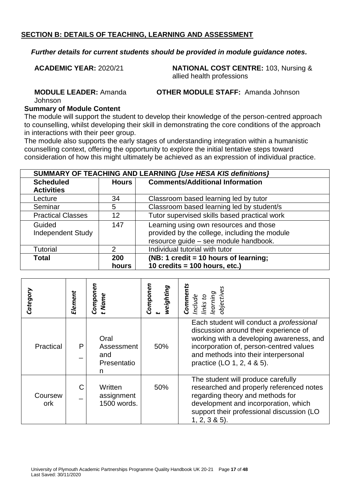#### *Further details for current students should be provided in module guidance notes.*

**ACADEMIC YEAR:** 2020/21 **NATIONAL COST CENTRE:** 103, Nursing & allied health professions

**MODULE LEADER:** Amanda

**OTHER MODULE STAFF:** Amanda Johnson

Johnson

#### **Summary of Module Content**

The module will support the student to develop their knowledge of the person-centred approach to counselling, whilst developing their skill in demonstrating the core conditions of the approach in interactions with their peer group.

The module also supports the early stages of understanding integration within a humanistic counselling context, offering the opportunity to explore the initial tentative steps toward consideration of how this might ultimately be achieved as an expression of individual practice.

| SUMMARY OF TEACHING AND LEARNING [Use HESA KIS definitions] |       |                                               |  |
|-------------------------------------------------------------|-------|-----------------------------------------------|--|
| <b>Scheduled</b>                                            | Hours | <b>Comments/Additional Information</b>        |  |
| <b>Activities</b>                                           |       |                                               |  |
| Lecture                                                     | 34    | Classroom based learning led by tutor         |  |
| Seminar                                                     | 5     | Classroom based learning led by student/s     |  |
| <b>Practical Classes</b>                                    | 12    | Tutor supervised skills based practical work  |  |
| Guided                                                      | 147   | Learning using own resources and those        |  |
| <b>Independent Study</b>                                    |       | provided by the college, including the module |  |
|                                                             |       | resource guide - see module handbook.         |  |
| <b>Tutorial</b>                                             | 2     | Individual tutorial with tutor                |  |
| <b>Total</b>                                                | 200   | (NB: 1 credit = 10 hours of learning;         |  |
|                                                             | hours | 10 credits = $100$ hours, etc.)               |  |

| Category       | Element | Componen<br>t Name                            | Componen<br>weighting | Comments<br>Include<br>links to<br>learning<br>objectives                                                                                                                                                                                      |
|----------------|---------|-----------------------------------------------|-----------------------|------------------------------------------------------------------------------------------------------------------------------------------------------------------------------------------------------------------------------------------------|
| Practical      | P       | Oral<br>Assessment<br>and<br>Presentatio<br>n | 50%                   | Each student will conduct a professional<br>discussion around their experience of<br>working with a developing awareness, and<br>incorporation of, person-centred values<br>and methods into their interpersonal<br>practice (LO 1, 2, 4 & 5). |
| Coursew<br>ork | C       | Written<br>assignment<br>1500 words.          | 50%                   | The student will produce carefully<br>researched and properly referenced notes<br>regarding theory and methods for<br>development and incorporation, which<br>support their professional discussion (LO<br>$1, 2, 3 & 5$ ).                    |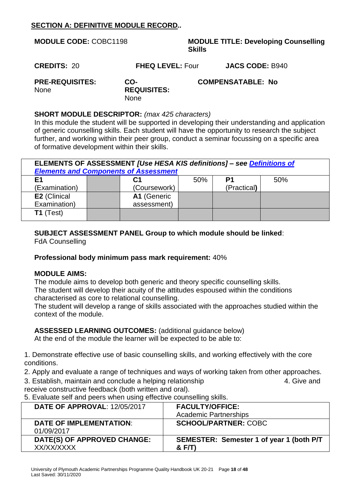# **SECTION A: DEFINITIVE MODULE RECORD***..*

| <b>MODULE CODE: COBC1198</b>                         |                                          | <b>Skills</b> | <b>MODULE TITLE: Developing Counselling</b> |
|------------------------------------------------------|------------------------------------------|---------------|---------------------------------------------|
| <b>CREDITS: 20</b>                                   | <b>FHEQ LEVEL: Four</b>                  |               | <b>JACS CODE: B940</b>                      |
| <b>PRE-REQUISITES:</b><br><b>None</b>                | CO-<br><b>REQUISITES:</b><br><b>None</b> |               | <b>COMPENSATABLE: No</b>                    |
| <b>SHORT MODULE DESCRIPTOR:</b> (max 425 characters) |                                          |               |                                             |

In this module the student will be supported in developing their understanding and application of generic counselling skills. Each student will have the opportunity to research the subject further, and working within their peer group, conduct a seminar focussing on a specific area of formative development within their skills.

| ELEMENTS OF ASSESSMENT [Use HESA KIS definitions] - see Definitions of |  |              |     |             |     |
|------------------------------------------------------------------------|--|--------------|-----|-------------|-----|
| <b>Elements and Components of Assessment</b>                           |  |              |     |             |     |
| E <sub>1</sub>                                                         |  | C1           | 50% | P1          | 50% |
| (Examination)                                                          |  | (Coursework) |     | (Practical) |     |
| E2 (Clinical                                                           |  | A1 (Generic  |     |             |     |
| Examination)                                                           |  | assessment)  |     |             |     |
| $T1$ (Test)                                                            |  |              |     |             |     |

# **SUBJECT ASSESSMENT PANEL Group to which module should be linked**:

FdA Counselling

# **Professional body minimum pass mark requirement:** 40%

#### **MODULE AIMS:**

The module aims to develop both generic and theory specific counselling skills.

The student will develop their acuity of the attitudes espoused within the conditions characterised as core to relational counselling.

The student will develop a range of skills associated with the approaches studied within the context of the module.

# **ASSESSED LEARNING OUTCOMES:** (additional guidance below)

At the end of the module the learner will be expected to be able to:

1. Demonstrate effective use of basic counselling skills, and working effectively with the core conditions.

2. Apply and evaluate a range of techniques and ways of working taken from other approaches.

3. Establish, maintain and conclude a helping relationship 4. Give and receive constructive feedback (both written and oral).

5. Evaluate self and peers when using effective counselling skills.

| <b>DATE OF APPROVAL: 12/05/2017</b>          | <b>FACULTY/OFFICE:</b><br><b>Academic Partnerships</b>     |
|----------------------------------------------|------------------------------------------------------------|
| <b>DATE OF IMPLEMENTATION:</b><br>01/09/2017 | <b>SCHOOL/PARTNER: COBC</b>                                |
| DATE(S) OF APPROVED CHANGE:<br>XX/XX/XXXX    | <b>SEMESTER: Semester 1 of year 1 (both P/T)</b><br>& F/T) |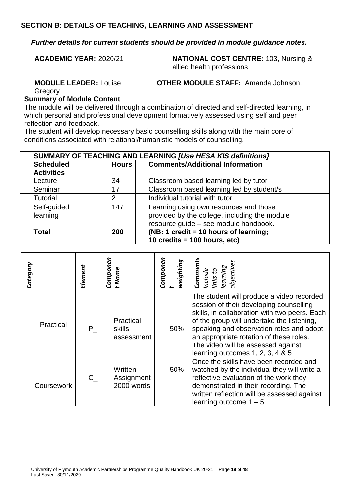*Further details for current students should be provided in module guidance notes.*

**ACADEMIC YEAR:** 2020/21 **NATIONAL COST CENTRE:** 103, Nursing & allied health professions

**MODULE LEADER:** Louise

**OTHER MODULE STAFF:** Amanda Johnson,

Gregory

#### **Summary of Module Content**

The module will be delivered through a combination of directed and self-directed learning, in which personal and professional development formatively assessed using self and peer reflection and feedback.

The student will develop necessary basic counselling skills along with the main core of conditions associated with relational/humanistic models of counselling.

| SUMMARY OF TEACHING AND LEARNING [Use HESA KIS definitions] |              |                                               |  |  |
|-------------------------------------------------------------|--------------|-----------------------------------------------|--|--|
| <b>Scheduled</b>                                            | <b>Hours</b> | <b>Comments/Additional Information</b>        |  |  |
| <b>Activities</b>                                           |              |                                               |  |  |
| Lecture                                                     | 34           | Classroom based learning led by tutor         |  |  |
| Seminar                                                     | 17           | Classroom based learning led by student/s     |  |  |
| <b>Tutorial</b>                                             | 2            | Individual tutorial with tutor                |  |  |
| Self-guided                                                 | 147          | Learning using own resources and those        |  |  |
| learning                                                    |              | provided by the college, including the module |  |  |
|                                                             |              | resource guide - see module handbook.         |  |  |
| <b>Total</b>                                                | 200          | (NB: 1 credit = 10 hours of learning;         |  |  |
|                                                             |              | 10 credits = $100$ hours, etc)                |  |  |

| Category   | Element | Componen<br>t Name                  | Componen<br>weighting | <b>Comments</b><br>objective<br>learning<br>Include<br>inks                                                                                                                                                                                                                                                                                            |
|------------|---------|-------------------------------------|-----------------------|--------------------------------------------------------------------------------------------------------------------------------------------------------------------------------------------------------------------------------------------------------------------------------------------------------------------------------------------------------|
| Practical  | P.      | Practical<br>skills<br>assessment   | 50%                   | The student will produce a video recorded<br>session of their developing counselling<br>skills, in collaboration with two peers. Each<br>of the group will undertake the listening,<br>speaking and observation roles and adopt<br>an appropriate rotation of these roles.<br>The video will be assessed against<br>learning outcomes 1, 2, 3, 4 $& 5$ |
| Coursework | $C_{-}$ | Written<br>Assignment<br>2000 words | 50%                   | Once the skills have been recorded and<br>watched by the individual they will write a<br>reflective evaluation of the work they<br>demonstrated in their recording. The<br>written reflection will be assessed against<br>learning outcome $1 - 5$                                                                                                     |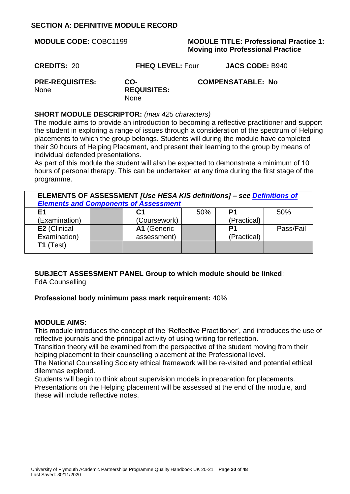# **SECTION A: DEFINITIVE MODULE RECORD**

| <b>MODULE CODE: COBC1199</b>          |                                          | <b>MODULE TITLE: Professional Practice 1:</b><br><b>Moving into Professional Practice</b> |
|---------------------------------------|------------------------------------------|-------------------------------------------------------------------------------------------|
| <b>CREDITS: 20</b>                    | <b>FHEQ LEVEL: Four</b>                  | <b>JACS CODE: B940</b>                                                                    |
| <b>PRE-REQUISITES:</b><br><b>None</b> | CO-<br><b>REQUISITES:</b><br><b>None</b> | <b>COMPENSATABLE: No</b>                                                                  |

#### **SHORT MODULE DESCRIPTOR:** *(max 425 characters)*

The module aims to provide an introduction to becoming a reflective practitioner and support the student in exploring a range of issues through a consideration of the spectrum of Helping placements to which the group belongs. Students will during the module have completed their 30 hours of Helping Placement, and present their learning to the group by means of individual defended presentations.

As part of this module the student will also be expected to demonstrate a minimum of 10 hours of personal therapy. This can be undertaken at any time during the first stage of the programme.

| ELEMENTS OF ASSESSMENT [Use HESA KIS definitions] - see Definitions of<br><b>Elements and Components of Assessment</b> |  |              |     |                |           |
|------------------------------------------------------------------------------------------------------------------------|--|--------------|-----|----------------|-----------|
| F1                                                                                                                     |  | С1           | 50% | P <sub>1</sub> | 50%       |
| (Examination)                                                                                                          |  | (Coursework) |     | (Practical)    |           |
| E2 (Clinical                                                                                                           |  | A1 (Generic  |     | P1             | Pass/Fail |
| Examination)                                                                                                           |  | assessment)  |     | (Practical)    |           |
| $T1$ (Test)                                                                                                            |  |              |     |                |           |

#### **SUBJECT ASSESSMENT PANEL Group to which module should be linked**: FdA Counselling

#### **Professional body minimum pass mark requirement:** 40%

#### **MODULE AIMS:**

This module introduces the concept of the 'Reflective Practitioner', and introduces the use of reflective journals and the principal activity of using writing for reflection.

Transition theory will be examined from the perspective of the student moving from their helping placement to their counselling placement at the Professional level.

The National Counselling Society ethical framework will be re-visited and potential ethical dilemmas explored.

Students will begin to think about supervision models in preparation for placements. Presentations on the Helping placement will be assessed at the end of the module, and these will include reflective notes.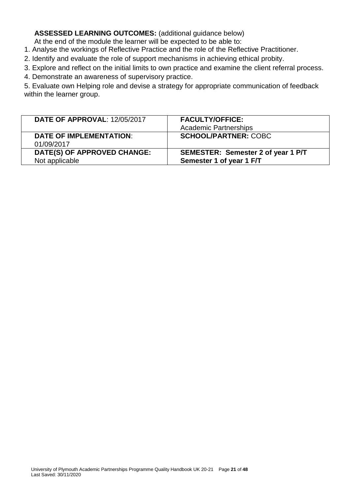# **ASSESSED LEARNING OUTCOMES:** (additional guidance below)

At the end of the module the learner will be expected to be able to:

1. Analyse the workings of Reflective Practice and the role of the Reflective Practitioner.

2. Identify and evaluate the role of support mechanisms in achieving ethical probity.

3. Explore and reflect on the initial limits to own practice and examine the client referral process.

4. Demonstrate an awareness of supervisory practice.

5. Evaluate own Helping role and devise a strategy for appropriate communication of feedback within the learner group.

| <b>DATE OF APPROVAL: 12/05/2017</b>           | <b>FACULTY/OFFICE:</b><br><b>Academic Partnerships</b>         |
|-----------------------------------------------|----------------------------------------------------------------|
| <b>DATE OF IMPLEMENTATION:</b><br>01/09/2017  | <b>SCHOOL/PARTNER: COBC</b>                                    |
| DATE(S) OF APPROVED CHANGE:<br>Not applicable | SEMESTER: Semester 2 of year 1 P/T<br>Semester 1 of year 1 F/T |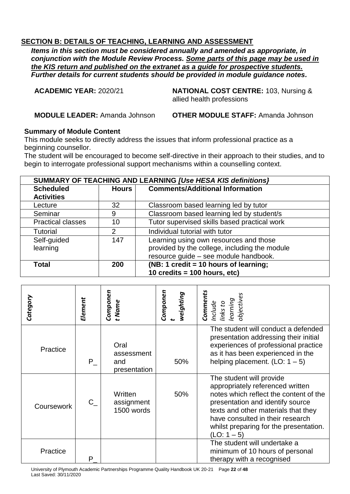*Items in this section must be considered annually and amended as appropriate, in conjunction with the Module Review Process. Some parts of this page may be used in the KIS return and published on the extranet as a guide for prospective students. Further details for current students should be provided in module guidance notes.*

**ACADEMIC YEAR:** 2020/21 **NATIONAL COST CENTRE:** 103, Nursing & allied health professions

**MODULE LEADER:** Amanda Johnson **OTHER MODULE STAFF:** Amanda Johnson

# **Summary of Module Content**

This module seeks to directly address the issues that inform professional practice as a beginning counsellor.

The student will be encouraged to become self-directive in their approach to their studies, and to begin to interrogate professional support mechanisms within a counselling context.

| SUMMARY OF TEACHING AND LEARNING [Use HESA KIS definitions] |                                                        |                                               |  |
|-------------------------------------------------------------|--------------------------------------------------------|-----------------------------------------------|--|
| <b>Scheduled</b>                                            | <b>Comments/Additional Information</b><br><b>Hours</b> |                                               |  |
| <b>Activities</b>                                           |                                                        |                                               |  |
| Lecture                                                     | 32                                                     | Classroom based learning led by tutor         |  |
| Seminar                                                     | 9                                                      | Classroom based learning led by student/s     |  |
| <b>Practical classes</b>                                    | 10                                                     | Tutor supervised skills based practical work  |  |
| <b>Tutorial</b>                                             | 2                                                      | Individual tutorial with tutor                |  |
| Self-guided                                                 | 147                                                    | Learning using own resources and those        |  |
| learning                                                    |                                                        | provided by the college, including the module |  |
|                                                             |                                                        | resource guide - see module handbook.         |  |
| <b>Total</b>                                                | 200                                                    | (NB: 1 credit = 10 hours of learning;         |  |
|                                                             |                                                        | 10 credits = $100$ hours, etc)                |  |

| Category   | Element | Componen<br>t Name                        | Componen<br>weighting | Comments<br>Include<br>links to<br>learning<br>objectives                                                                                                                                                                                                                        |
|------------|---------|-------------------------------------------|-----------------------|----------------------------------------------------------------------------------------------------------------------------------------------------------------------------------------------------------------------------------------------------------------------------------|
| Practice   | $P_{-}$ | Oral<br>assessment<br>and<br>presentation | 50%                   | The student will conduct a defended<br>presentation addressing their initial<br>experiences of professional practice<br>as it has been experienced in the<br>helping placement. $(LO: 1 – 5)$                                                                                    |
| Coursework | $C_{-}$ | Written<br>assignment<br>1500 words       | 50%                   | The student will provide<br>appropriately referenced written<br>notes which reflect the content of the<br>presentation and identify source<br>texts and other materials that they<br>have consulted in their research<br>whilst preparing for the presentation.<br>$(LO: 1 - 5)$ |
| Practice   | P       |                                           |                       | The student will undertake a<br>minimum of 10 hours of personal<br>therapy with a recognised                                                                                                                                                                                     |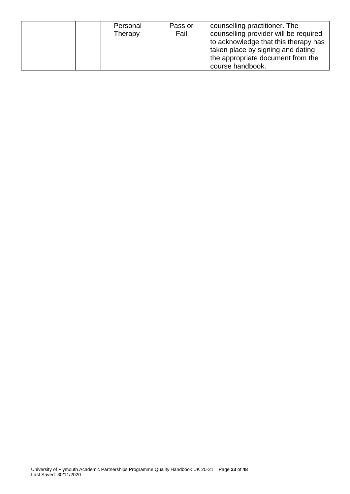| Personal<br>Therapy | Pass or<br>Fail | counselling practitioner. The<br>counselling provider will be required<br>to acknowledge that this therapy has<br>taken place by signing and dating<br>the appropriate document from the |
|---------------------|-----------------|------------------------------------------------------------------------------------------------------------------------------------------------------------------------------------------|
|                     |                 | course handbook.                                                                                                                                                                         |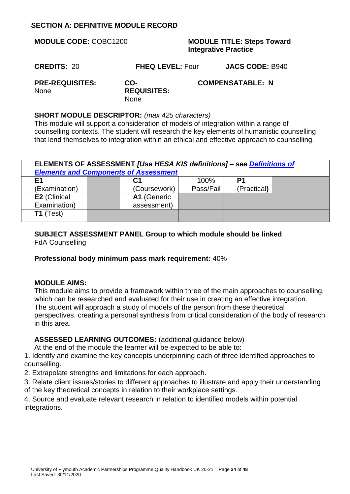# **SECTION A: DEFINITIVE MODULE RECORD**

| <b>MODULE CODE: COBC1200</b>                                                      |                         | <b>MODULE TITLE: Steps Toward</b><br><b>Integrative Practice</b> |                        |  |
|-----------------------------------------------------------------------------------|-------------------------|------------------------------------------------------------------|------------------------|--|
| <b>CREDITS: 20</b>                                                                | <b>FHEQ LEVEL: Four</b> |                                                                  | <b>JACS CODE: B940</b> |  |
| <b>PRE-REQUISITES:</b><br>CO-<br><b>REQUISITES:</b><br><b>None</b><br><b>None</b> |                         | <b>COMPENSATABLE: N</b>                                          |                        |  |
| <b>SHORT MODULE DESCRIPTOR:</b> (max 425 characters)                              |                         |                                                                  |                        |  |

This module will support a consideration of models of integration within a range of counselling contexts. The student will research the key elements of humanistic counselling that lend themselves to integration within an ethical and effective approach to counselling.

| ELEMENTS OF ASSESSMENT [Use HESA KIS definitions] - see Definitions of<br><b>Elements and Components of Assessment</b> |  |              |           |             |  |  |
|------------------------------------------------------------------------------------------------------------------------|--|--------------|-----------|-------------|--|--|
| E <sub>1</sub>                                                                                                         |  | C1           | 100%      | P1          |  |  |
| (Examination)                                                                                                          |  | (Coursework) | Pass/Fail | (Practical) |  |  |
| E2 (Clinical                                                                                                           |  | A1 (Generic  |           |             |  |  |
| Examination)                                                                                                           |  | assessment)  |           |             |  |  |
| $T1$ (Test)                                                                                                            |  |              |           |             |  |  |

# **SUBJECT ASSESSMENT PANEL Group to which module should be linked**:

FdA Counselling

#### **Professional body minimum pass mark requirement:** 40%

#### **MODULE AIMS:**

This module aims to provide a framework within three of the main approaches to counselling, which can be researched and evaluated for their use in creating an effective integration. The student will approach a study of models of the person from these theoretical perspectives, creating a personal synthesis from critical consideration of the body of research in this area.

**ASSESSED LEARNING OUTCOMES:** (additional guidance below)

At the end of the module the learner will be expected to be able to:

1. Identify and examine the key concepts underpinning each of three identified approaches to counselling.

2. Extrapolate strengths and limitations for each approach.

3. Relate client issues/stories to different approaches to illustrate and apply their understanding of the key theoretical concepts in relation to their workplace settings.

4. Source and evaluate relevant research in relation to identified models within potential integrations.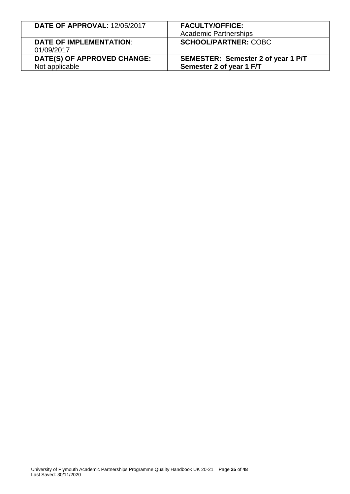| <b>DATE OF APPROVAL: 12/05/2017</b>           | <b>FACULTY/OFFICE:</b><br><b>Academic Partnerships</b>         |
|-----------------------------------------------|----------------------------------------------------------------|
| <b>DATE OF IMPLEMENTATION:</b><br>01/09/2017  | <b>SCHOOL/PARTNER: COBC</b>                                    |
| DATE(S) OF APPROVED CHANGE:<br>Not applicable | SEMESTER: Semester 2 of year 1 P/T<br>Semester 2 of year 1 F/T |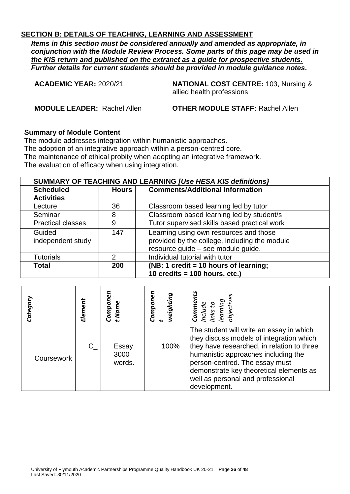*Items in this section must be considered annually and amended as appropriate, in conjunction with the Module Review Process. Some parts of this page may be used in the KIS return and published on the extranet as a guide for prospective students. Further details for current students should be provided in module guidance notes.*

**ACADEMIC YEAR:** 2020/21 **NATIONAL COST CENTRE:** 103, Nursing & allied health professions

**MODULE LEADER:** Rachel Allen **OTHER MODULE STAFF:** Rachel Allen

#### **Summary of Module Content**

The module addresses integration within humanistic approaches. The adoption of an integrative approach within a person-centred core. The maintenance of ethical probity when adopting an integrative framework. The evaluation of efficacy when using integration.

| SUMMARY OF TEACHING AND LEARNING [Use HESA KIS definitions] |              |                                               |  |  |
|-------------------------------------------------------------|--------------|-----------------------------------------------|--|--|
| <b>Scheduled</b>                                            | <b>Hours</b> | <b>Comments/Additional Information</b>        |  |  |
| <b>Activities</b>                                           |              |                                               |  |  |
| Lecture                                                     | 36           | Classroom based learning led by tutor         |  |  |
| Seminar                                                     | 8            | Classroom based learning led by student/s     |  |  |
| <b>Practical classes</b>                                    | 9            | Tutor supervised skills based practical work  |  |  |
| Guided                                                      | 147          | Learning using own resources and those        |  |  |
| independent study                                           |              | provided by the college, including the module |  |  |
|                                                             |              | resource guide - see module guide.            |  |  |
| <b>Tutorials</b>                                            | 2            | Individual tutorial with tutor                |  |  |
| <b>Total</b>                                                | <b>200</b>   | (NB: 1 credit = 10 hours of learning;         |  |  |
|                                                             |              | 10 credits = $100$ hours, etc.)               |  |  |

| Categor    | Element | Compoi<br>t Name        | Componer<br>weighting | Include<br>links to<br>learning<br>objective<br>Comme                                                                                                                                                                                                                                                       |
|------------|---------|-------------------------|-----------------------|-------------------------------------------------------------------------------------------------------------------------------------------------------------------------------------------------------------------------------------------------------------------------------------------------------------|
| Coursework | $C_{-}$ | Essay<br>3000<br>words. | 100%                  | The student will write an essay in which<br>they discuss models of integration which<br>they have researched, in relation to three<br>humanistic approaches including the<br>person-centred. The essay must<br>demonstrate key theoretical elements as<br>well as personal and professional<br>development. |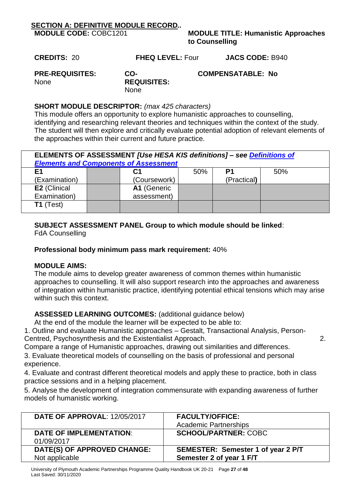# **SECTION A: DEFINITIVE MODULE RECORD***..*

**MODULE TITLE: Humanistic Approaches to Counselling**

**CREDITS:** 20 **FHEQ LEVEL:** Four **JACS CODE:** B940

**PRE-REQUISITES:**  None

**CO-REQUISITES:**  None

# **COMPENSATABLE: No**

# **SHORT MODULE DESCRIPTOR:** *(max 425 characters)*

This module offers an opportunity to explore humanistic approaches to counselling, identifying and researching relevant theories and techniques within the context of the study. The student will then explore and critically evaluate potential adoption of relevant elements of the approaches within their current and future practice.

| ELEMENTS OF ASSESSMENT [Use HESA KIS definitions] - see Definitions of<br><b>Elements and Components of Assessment</b> |              |     |             |     |  |  |
|------------------------------------------------------------------------------------------------------------------------|--------------|-----|-------------|-----|--|--|
| E1                                                                                                                     | С1           | 50% | P1          | 50% |  |  |
| (Examination)                                                                                                          | (Coursework) |     | (Practical) |     |  |  |
| E2 (Clinical                                                                                                           | A1 (Generic  |     |             |     |  |  |
| Examination)                                                                                                           | assessment)  |     |             |     |  |  |
| $T1$ (Test)                                                                                                            |              |     |             |     |  |  |

# **SUBJECT ASSESSMENT PANEL Group to which module should be linked**:

FdA Counselling

### **Professional body minimum pass mark requirement:** 40%

#### **MODULE AIMS:**

The module aims to develop greater awareness of common themes within humanistic approaches to counselling. It will also support research into the approaches and awareness of integration within humanistic practice, identifying potential ethical tensions which may arise within such this context.

# **ASSESSED LEARNING OUTCOMES:** (additional guidance below)

At the end of the module the learner will be expected to be able to:

1. Outline and evaluate Humanistic approaches – Gestalt, Transactional Analysis, Person-Centred, Psychosynthesis and the Existentialist Approach. 2.

Compare a range of Humanistic approaches, drawing out similarities and differences.

3. Evaluate theoretical models of counselling on the basis of professional and personal experience.

4. Evaluate and contrast different theoretical models and apply these to practice, both in class practice sessions and in a helping placement.

5. Analyse the development of integration commensurate with expanding awareness of further models of humanistic working.

| <b>DATE OF APPROVAL: 12/05/2017</b> | <b>FACULTY/OFFICE:</b>             |
|-------------------------------------|------------------------------------|
|                                     | <b>Academic Partnerships</b>       |
| <b>DATE OF IMPLEMENTATION:</b>      | <b>SCHOOL/PARTNER: COBC</b>        |
| 01/09/2017                          |                                    |
| DATE(S) OF APPROVED CHANGE:         | SEMESTER: Semester 1 of year 2 P/T |
| Not applicable                      | Semester 2 of year 1 F/T           |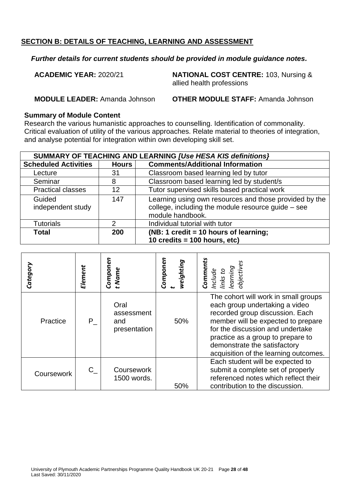#### *Further details for current students should be provided in module guidance notes.*

**ACADEMIC YEAR:** 2020/21 **NATIONAL COST CENTRE:** 103, Nursing & allied health professions

**MODULE LEADER:** Amanda Johnson **OTHER MODULE STAFF:** Amanda Johnson

#### **Summary of Module Content**

Research the various humanistic approaches to counselling. Identification of commonality. Critical evaluation of utility of the various approaches. Relate material to theories of integration, and analyse potential for integration within own developing skill set.

| SUMMARY OF TEACHING AND LEARNING [Use HESA KIS definitions] |              |                                                                                                                                    |  |  |
|-------------------------------------------------------------|--------------|------------------------------------------------------------------------------------------------------------------------------------|--|--|
| <b>Scheduled Activities</b>                                 | <b>Hours</b> | <b>Comments/Additional Information</b>                                                                                             |  |  |
| Lecture                                                     | 31           | Classroom based learning led by tutor                                                                                              |  |  |
| Seminar                                                     | 8            | Classroom based learning led by student/s                                                                                          |  |  |
| <b>Practical classes</b>                                    | 12           | Tutor supervised skills based practical work                                                                                       |  |  |
| Guided<br>independent study                                 | 147          | Learning using own resources and those provided by the<br>college, including the module resource guide $-$ see<br>module handbook. |  |  |
| <b>Tutorials</b>                                            | 2            | Individual tutorial with tutor                                                                                                     |  |  |
| <b>Total</b>                                                | 200          | (NB: 1 credit = 10 hours of learning;<br>10 credits = $100$ hours, etc)                                                            |  |  |

| Category   | Element | Componen<br>t Name                        | Componen<br>weighting | <b>Comments</b><br>Include<br>Iinks to<br>objectives<br>earning                                                                                                                                                                                                                                   |
|------------|---------|-------------------------------------------|-----------------------|---------------------------------------------------------------------------------------------------------------------------------------------------------------------------------------------------------------------------------------------------------------------------------------------------|
| Practice   | $P_{-}$ | Oral<br>assessment<br>and<br>presentation | 50%                   | The cohort will work in small groups<br>each group undertaking a video<br>recorded group discussion. Each<br>member will be expected to prepare<br>for the discussion and undertake<br>practice as a group to prepare to<br>demonstrate the satisfactory<br>acquisition of the learning outcomes. |
| Coursework | $C_{-}$ | Coursework<br>1500 words.                 | 50%                   | Each student will be expected to<br>submit a complete set of properly<br>referenced notes which reflect their<br>contribution to the discussion.                                                                                                                                                  |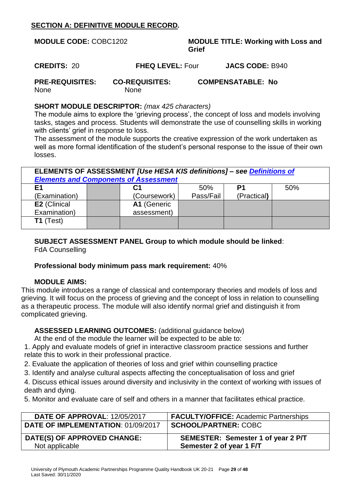# **SECTION A: DEFINITIVE MODULE RECORD***.*

| <b>MODULE CODE: COBC1202</b>          |                                      | <b>MODULE TITLE: Working with Loss and</b><br>Grief |                          |  |
|---------------------------------------|--------------------------------------|-----------------------------------------------------|--------------------------|--|
| <b>CREDITS: 20</b>                    | <b>FHEQ LEVEL: Four</b>              |                                                     | <b>JACS CODE: B940</b>   |  |
| <b>PRE-REQUISITES:</b><br><b>None</b> | <b>CO-REQUISITES:</b><br><b>None</b> |                                                     | <b>COMPENSATABLE: No</b> |  |

### **SHORT MODULE DESCRIPTOR:** *(max 425 characters)*

The module aims to explore the 'grieving process', the concept of loss and models involving tasks, stages and process. Students will demonstrate the use of counselling skills in working with clients' grief in response to loss.

The assessment of the module supports the creative expression of the work undertaken as well as more formal identification of the student's personal response to the issue of their own losses.

| ELEMENTS OF ASSESSMENT [Use HESA KIS definitions] – see Definitions of<br><b>Elements and Components of Assessment</b> |  |              |           |             |     |  |
|------------------------------------------------------------------------------------------------------------------------|--|--------------|-----------|-------------|-----|--|
| Ε1                                                                                                                     |  | С1           | 50%       | P1          | 50% |  |
| (Examination)                                                                                                          |  | (Coursework) | Pass/Fail | (Practical) |     |  |
| E2 (Clinical                                                                                                           |  | A1 (Generic  |           |             |     |  |
| Examination)                                                                                                           |  | assessment)  |           |             |     |  |
| $T1$ (Test)                                                                                                            |  |              |           |             |     |  |

# **SUBJECT ASSESSMENT PANEL Group to which module should be linked**:

FdA Counselling

# **Professional body minimum pass mark requirement:** 40%

# **MODULE AIMS:**

This module introduces a range of classical and contemporary theories and models of loss and grieving. It will focus on the process of grieving and the concept of loss in relation to counselling as a therapeutic process. The module will also identify normal grief and distinguish it from complicated grieving.

# **ASSESSED LEARNING OUTCOMES:** (additional guidance below)

At the end of the module the learner will be expected to be able to:

1. Apply and evaluate models of grief in interactive classroom practice sessions and further relate this to work in their professional practice.

2. Evaluate the application of theories of loss and grief within counselling practice

3. Identify and analyse cultural aspects affecting the conceptualisation of loss and grief

4. Discuss ethical issues around diversity and inclusivity in the context of working with issues of death and dying.

5. Monitor and evaluate care of self and others in a manner that facilitates ethical practice.

| <b>DATE OF APPROVAL: 12/05/2017</b>           | <b>FACULTY/OFFICE:</b> Academic Partnerships                   |
|-----------------------------------------------|----------------------------------------------------------------|
| DATE OF IMPLEMENTATION: 01/09/2017            | <b>SCHOOL/PARTNER: COBC</b>                                    |
| DATE(S) OF APPROVED CHANGE:<br>Not applicable | SEMESTER: Semester 1 of year 2 P/T<br>Semester 2 of year 1 F/T |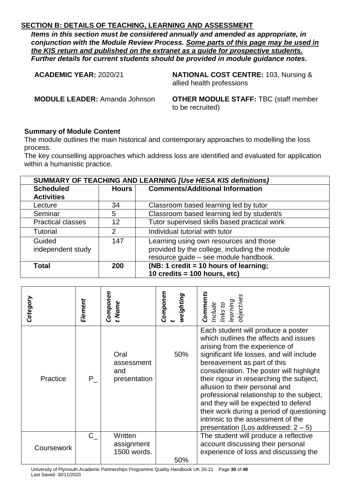*Items in this section must be considered annually and amended as appropriate, in conjunction with the Module Review Process. Some parts of this page may be used in the KIS return and published on the extranet as a guide for prospective students. Further details for current students should be provided in module guidance notes.*

**ACADEMIC YEAR:** 2020/21 **NATIONAL COST CENTRE:** 103, Nursing & allied health professions

**MODULE LEADER:** Amanda Johnson **OTHER MODULE STAFF:** TBC (staff member to be recruited)

#### **Summary of Module Content**

The module outlines the main historical and contemporary approaches to modelling the loss process.

The key counselling approaches which address loss are identified and evaluated for application within a humanistic practice.

| SUMMARY OF TEACHING AND LEARNING [Use HESA KIS definitions] |                                                 |                                               |  |
|-------------------------------------------------------------|-------------------------------------------------|-----------------------------------------------|--|
| <b>Scheduled</b>                                            | <b>Comments/Additional Information</b><br>Hours |                                               |  |
| <b>Activities</b>                                           |                                                 |                                               |  |
| Lecture                                                     | 34                                              | Classroom based learning led by tutor         |  |
| Seminar                                                     | 5                                               | Classroom based learning led by student/s     |  |
| <b>Practical classes</b>                                    | 12                                              | Tutor supervised skills based practical work  |  |
| <b>Tutorial</b>                                             | $\overline{2}$                                  | Individual tutorial with tutor                |  |
| Guided                                                      | 147                                             | Learning using own resources and those        |  |
| independent study                                           |                                                 | provided by the college, including the module |  |
|                                                             |                                                 | resource guide - see module handbook.         |  |
| <b>Total</b>                                                | (NB: 1 credit = 10 hours of learning;<br>200    |                                               |  |
|                                                             |                                                 | 10 credits = $100$ hours, etc)                |  |

| Element | Componen<br>t Name                        | Componen<br>weighting | Comments<br>objectives<br>Include<br>links to<br>learning                                                                                                                                                                                                                                                                                                                                                                                                                                                                            |
|---------|-------------------------------------------|-----------------------|--------------------------------------------------------------------------------------------------------------------------------------------------------------------------------------------------------------------------------------------------------------------------------------------------------------------------------------------------------------------------------------------------------------------------------------------------------------------------------------------------------------------------------------|
| P       | Oral<br>assessment<br>and<br>presentation | 50%                   | Each student will produce a poster<br>which outlines the affects and issues<br>arising from the experience of<br>significant life losses, and will include<br>bereavement as part of this<br>consideration. The poster will highlight<br>their rigour in researching the subject,<br>allusion to their personal and<br>professional relationship to the subject,<br>and they will be expected to defend<br>their work during a period of questioning<br>intrinsic to the assessment of the<br>presentation (Los addressed: $2 - 5$ ) |
| $C_{-}$ | Written<br>assignment<br>1500 words.      |                       | The student will produce a reflective<br>account discussing their personal<br>experience of loss and discussing the                                                                                                                                                                                                                                                                                                                                                                                                                  |
|         |                                           |                       | 50%                                                                                                                                                                                                                                                                                                                                                                                                                                                                                                                                  |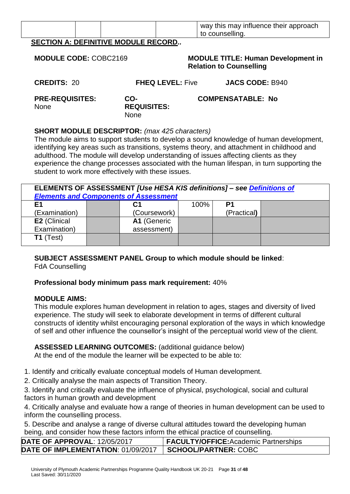|  |  |  |  | way this may influence their approach<br>to counselling. |
|--|--|--|--|----------------------------------------------------------|
|  |  |  |  |                                                          |

**SECTION A: DEFINITIVE MODULE RECORD***..*

| <b>MODULE CODE: COBC2169</b>                                                                                                                                                                                                                                                                                                                                                                                                                                                              |                                          | <b>MODULE TITLE: Human Development in</b><br><b>Relation to Counselling</b> |  |  |
|-------------------------------------------------------------------------------------------------------------------------------------------------------------------------------------------------------------------------------------------------------------------------------------------------------------------------------------------------------------------------------------------------------------------------------------------------------------------------------------------|------------------------------------------|-----------------------------------------------------------------------------|--|--|
| <b>CREDITS: 20</b>                                                                                                                                                                                                                                                                                                                                                                                                                                                                        | <b>FHEQ LEVEL: Five</b>                  | <b>JACS CODE: B940</b>                                                      |  |  |
| <b>PRE-REQUISITES:</b><br><b>None</b>                                                                                                                                                                                                                                                                                                                                                                                                                                                     | CO-<br><b>REQUISITES:</b><br><b>None</b> | <b>COMPENSATABLE: No</b>                                                    |  |  |
| <b>SHORT MODULE DESCRIPTOR:</b> (max 425 characters)<br>The module aims to support students to develop a sound knowledge of human development,<br>identifying key areas such as transitions, systems theory, and attachment in childhood and<br>adulthood. The module will develop understanding of issues affecting clients as they<br>experience the change processes associated with the human lifespan, in turn supporting the<br>student to work more effectively with these issues. |                                          |                                                                             |  |  |

| ELEMENTS OF ASSESSMENT [Use HESA KIS definitions] - see Definitions of<br><b>Elements and Components of Assessment</b> |             |                             |      |                |  |  |  |  |
|------------------------------------------------------------------------------------------------------------------------|-------------|-----------------------------|------|----------------|--|--|--|--|
| E1                                                                                                                     |             | С1                          | 100% | P <sub>1</sub> |  |  |  |  |
| (Examination)                                                                                                          |             | (Practical)<br>(Coursework) |      |                |  |  |  |  |
| E2 (Clinical                                                                                                           | A1 (Generic |                             |      |                |  |  |  |  |
| Examination)                                                                                                           | assessment) |                             |      |                |  |  |  |  |
| $T1$ (Test)                                                                                                            |             |                             |      |                |  |  |  |  |

#### **SUBJECT ASSESSMENT PANEL Group to which module should be linked**: FdA Counselling

# **Professional body minimum pass mark requirement:** 40%

#### **MODULE AIMS:**

This module explores human development in relation to ages, stages and diversity of lived experience. The study will seek to elaborate development in terms of different cultural constructs of identity whilst encouraging personal exploration of the ways in which knowledge of self and other influence the counsellor's insight of the perceptual world view of the client.

# **ASSESSED LEARNING OUTCOMES:** (additional guidance below)

At the end of the module the learner will be expected to be able to:

1. Identify and critically evaluate conceptual models of Human development.

2. Critically analyse the main aspects of Transition Theory.

3. Identify and critically evaluate the influence of physical, psychological, social and cultural factors in human growth and development

4. Critically analyse and evaluate how a range of theories in human development can be used to inform the counselling process.

5. Describe and analyse a range of diverse cultural attitudes toward the developing human being, and consider how these factors inform the ethical practice of counselling.

| DATE OF APPROVAL: 12/05/2017       | <b>FACULTY/OFFICE: Academic Partnerships</b> |
|------------------------------------|----------------------------------------------|
| DATE OF IMPLEMENTATION: 01/09/2017 | <b>SCHOOL/PARTNER: COBC</b>                  |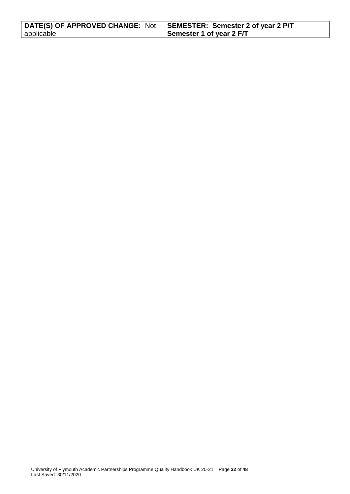| DATE(S) OF APPROVED CHANGE: Not   SEMESTER: Semester 2 of year 2 P/T |                          |
|----------------------------------------------------------------------|--------------------------|
| applicable                                                           | Semester 1 of year 2 F/T |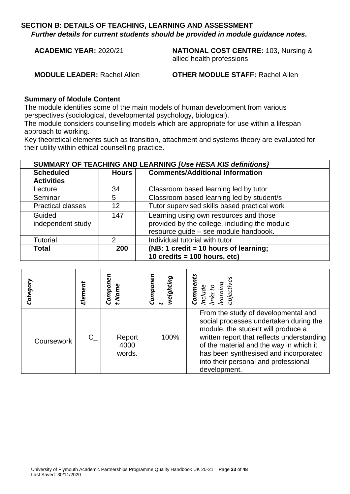*Further details for current students should be provided in module guidance notes.*

**ACADEMIC YEAR:** 2020/21 **NATIONAL COST CENTRE:** 103, Nursing & allied health professions

**MODULE LEADER:** Rachel Allen **OTHER MODULE STAFF:** Rachel Allen

#### **Summary of Module Content**

The module identifies some of the main models of human development from various perspectives (sociological, developmental psychology, biological).

The module considers counselling models which are appropriate for use within a lifespan approach to working.

Key theoretical elements such as transition, attachment and systems theory are evaluated for their utility within ethical counselling practice.

| SUMMARY OF TEACHING AND LEARNING [Use HESA KIS definitions] |                                                        |                                               |  |  |
|-------------------------------------------------------------|--------------------------------------------------------|-----------------------------------------------|--|--|
| <b>Scheduled</b>                                            | <b>Comments/Additional Information</b><br><b>Hours</b> |                                               |  |  |
| <b>Activities</b>                                           |                                                        |                                               |  |  |
| Lecture                                                     | 34                                                     | Classroom based learning led by tutor         |  |  |
| Seminar                                                     | 5                                                      | Classroom based learning led by student/s     |  |  |
| <b>Practical classes</b>                                    | 12                                                     | Tutor supervised skills based practical work  |  |  |
| Guided                                                      | 147                                                    | Learning using own resources and those        |  |  |
| independent study                                           |                                                        | provided by the college, including the module |  |  |
|                                                             |                                                        | resource guide - see module handbook.         |  |  |
| <b>Tutorial</b>                                             | 2                                                      | Individual tutorial with tutor                |  |  |
| <b>Total</b>                                                | (NB: 1 credit = 10 hours of learning;<br>200           |                                               |  |  |
|                                                             |                                                        | 10 credits = $100$ hours, etc)                |  |  |

| Categor    | Element | Compon<br>t Name         | Componer<br>weighting | Include<br>links to<br>learning<br>objective<br>Comme                                                                                                                                                                                                                                                         |
|------------|---------|--------------------------|-----------------------|---------------------------------------------------------------------------------------------------------------------------------------------------------------------------------------------------------------------------------------------------------------------------------------------------------------|
| Coursework | C.      | Report<br>4000<br>words. | 100%                  | From the study of developmental and<br>social processes undertaken during the<br>module, the student will produce a<br>written report that reflects understanding<br>of the material and the way in which it<br>has been synthesised and incorporated<br>into their personal and professional<br>development. |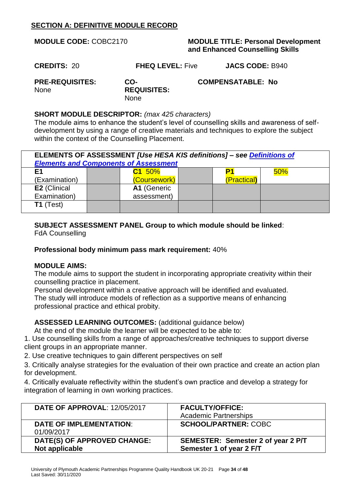# **SECTION A: DEFINITIVE MODULE RECORD**

| <b>MODULE CODE: COBC2170</b>          |                                          | <b>MODULE TITLE: Personal Development</b><br>and Enhanced Counselling Skills |
|---------------------------------------|------------------------------------------|------------------------------------------------------------------------------|
| <b>CREDITS: 20</b>                    | <b>FHEQ LEVEL: Five</b>                  | <b>JACS CODE: B940</b>                                                       |
| <b>PRE-REQUISITES:</b><br><b>None</b> | CO-<br><b>REQUISITES:</b><br><b>None</b> | <b>COMPENSATABLE: No</b>                                                     |

#### **SHORT MODULE DESCRIPTOR:** *(max 425 characters)*

The module aims to enhance the student's level of counselling skills and awareness of selfdevelopment by using a range of creative materials and techniques to explore the subject within the context of the Counselling Placement.

| ELEMENTS OF ASSESSMENT [Use HESA KIS definitions] - see Definitions of<br><b>Elements and Components of Assessment</b> |             |              |  |             |     |  |  |
|------------------------------------------------------------------------------------------------------------------------|-------------|--------------|--|-------------|-----|--|--|
| E1                                                                                                                     |             | C1 50%       |  |             | 50% |  |  |
| (Examination)                                                                                                          |             | (Coursework) |  | (Practical) |     |  |  |
| E2 (Clinical                                                                                                           |             | A1 (Generic  |  |             |     |  |  |
| Examination)                                                                                                           | assessment) |              |  |             |     |  |  |
| $T1$ (Test)                                                                                                            |             |              |  |             |     |  |  |

# **SUBJECT ASSESSMENT PANEL Group to which module should be linked**:

FdA Counselling

#### **Professional body minimum pass mark requirement:** 40%

#### **MODULE AIMS:**

The module aims to support the student in incorporating appropriate creativity within their counselling practice in placement.

Personal development within a creative approach will be identified and evaluated. The study will introduce models of reflection as a supportive means of enhancing professional practice and ethical probity.

**ASSESSED LEARNING OUTCOMES:** (additional guidance below)

At the end of the module the learner will be expected to be able to:

1. Use counselling skills from a range of approaches/creative techniques to support diverse client groups in an appropriate manner.

2. Use creative techniques to gain different perspectives on self

3. Critically analyse strategies for the evaluation of their own practice and create an action plan for development.

4. Critically evaluate reflectivity within the student's own practice and develop a strategy for integration of learning in own working practices.

| <b>DATE OF APPROVAL: 12/05/2017</b>           | <b>FACULTY/OFFICE:</b><br><b>Academic Partnerships</b>         |
|-----------------------------------------------|----------------------------------------------------------------|
| <b>DATE OF IMPLEMENTATION:</b><br>01/09/2017  | <b>SCHOOL/PARTNER: COBC</b>                                    |
| DATE(S) OF APPROVED CHANGE:<br>Not applicable | SEMESTER: Semester 2 of year 2 P/T<br>Semester 1 of year 2 F/T |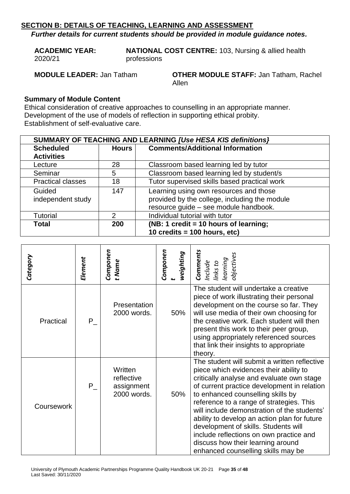*Further details for current students should be provided in module guidance notes.*

**ACADEMIC YEAR:**  2020/21 **NATIONAL COST CENTRE:** 103, Nursing & allied health professions

**MODULE LEADER:** Jan Tatham **OTHER MODULE STAFF:** Jan Tatham, Rachel Allen

#### **Summary of Module Content**

Ethical consideration of creative approaches to counselling in an appropriate manner. Development of the use of models of reflection in supporting ethical probity. Establishment of self-evaluative care.

|                             | SUMMARY OF TEACHING AND LEARNING [Use HESA KIS definitions] |                                                                                         |  |  |
|-----------------------------|-------------------------------------------------------------|-----------------------------------------------------------------------------------------|--|--|
| <b>Scheduled</b>            | Hours                                                       | <b>Comments/Additional Information</b>                                                  |  |  |
| <b>Activities</b>           |                                                             |                                                                                         |  |  |
| Lecture                     | 28                                                          | Classroom based learning led by tutor                                                   |  |  |
| Seminar                     | 5                                                           | Classroom based learning led by student/s                                               |  |  |
| <b>Practical classes</b>    | 18                                                          | Tutor supervised skills based practical work                                            |  |  |
| Guided<br>independent study | 147                                                         | Learning using own resources and those<br>provided by the college, including the module |  |  |
|                             |                                                             | resource guide - see module handbook.                                                   |  |  |
| <b>Tutorial</b>             | 2                                                           | Individual tutorial with tutor                                                          |  |  |
| <b>Total</b>                | 200                                                         | (NB: 1 credit = 10 hours of learning;                                                   |  |  |
|                             |                                                             | 10 credits = $100$ hours, etc)                                                          |  |  |

| Category   | Element | Componen<br>t Name                                 | Componen<br>weighting | <b>Comments</b><br>Include<br>links to<br>learning<br>objectives                                                                                                                                                                                                                                                                                                                                                                                                                                                                 |
|------------|---------|----------------------------------------------------|-----------------------|----------------------------------------------------------------------------------------------------------------------------------------------------------------------------------------------------------------------------------------------------------------------------------------------------------------------------------------------------------------------------------------------------------------------------------------------------------------------------------------------------------------------------------|
| Practical  | P.      | Presentation<br>2000 words.                        | 50%                   | The student will undertake a creative<br>piece of work illustrating their personal<br>development on the course so far. They<br>will use media of their own choosing for<br>the creative work. Each student will then<br>present this work to their peer group,<br>using appropriately referenced sources<br>that link their insights to appropriate<br>theory.                                                                                                                                                                  |
| Coursework | P       | Written<br>reflective<br>assignment<br>2000 words. | 50%                   | The student will submit a written reflective<br>piece which evidences their ability to<br>critically analyse and evaluate own stage<br>of current practice development in relation<br>to enhanced counselling skills by<br>reference to a range of strategies. This<br>will include demonstration of the students'<br>ability to develop an action plan for future<br>development of skills. Students will<br>include reflections on own practice and<br>discuss how their learning around<br>enhanced counselling skills may be |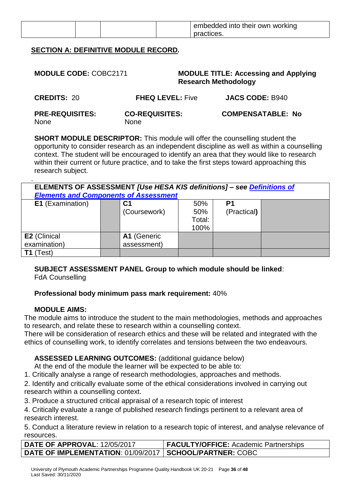|  |  | embedded into their own working |
|--|--|---------------------------------|
|  |  | ctices.                         |

# **SECTION A: DEFINITIVE MODULE RECORD***.*

| <b>MODULE CODE: COBC2171</b>          |                                      | <b>MODULE TITLE: Accessing and Applying</b><br><b>Research Methodology</b> |
|---------------------------------------|--------------------------------------|----------------------------------------------------------------------------|
| <b>CREDITS: 20</b>                    | <b>FHEQ LEVEL: Five</b>              | <b>JACS CODE: B940</b>                                                     |
| <b>PRE-REQUISITES:</b><br><b>None</b> | <b>CO-REQUISITES:</b><br><b>None</b> | <b>COMPENSATABLE: No</b>                                                   |

**SHORT MODULE DESCRIPTOR:** This module will offer the counselling student the opportunity to consider research as an independent discipline as well as within a counselling context. The student will be encouraged to identify an area that they would like to research within their current or future practice, and to take the first steps toward approaching this research subject.

| ELEMENTS OF ASSESSMENT [Use HESA KIS definitions] - see <i>Definitions of</i><br><b>Elements and Components of Assessment</b> |  |                            |                              |                   |  |
|-------------------------------------------------------------------------------------------------------------------------------|--|----------------------------|------------------------------|-------------------|--|
| <b>E1</b> (Examination)                                                                                                       |  | С1<br>(Coursework)         | 50%<br>50%<br>Total:<br>100% | P1<br>(Practical) |  |
| <b>E2</b> (Clinical<br>examination)                                                                                           |  | A1 (Generic<br>assessment) |                              |                   |  |
| Test)                                                                                                                         |  |                            |                              |                   |  |

#### **SUBJECT ASSESSMENT PANEL Group to which module should be linked**: FdA Counselling

#### **Professional body minimum pass mark requirement:** 40%

# **MODULE AIMS:**

The module aims to introduce the student to the main methodologies, methods and approaches to research, and relate these to research within a counselling context.

There will be consideration of research ethics and these will be related and integrated with the ethics of counselling work, to identify correlates and tensions between the two endeavours.

# **ASSESSED LEARNING OUTCOMES:** (additional guidance below)

At the end of the module the learner will be expected to be able to:

1. Critically analyse a range of research methodologies, approaches and methods.

2. Identify and critically evaluate some of the ethical considerations involved in carrying out research within a counselling context.

3. Produce a structured critical appraisal of a research topic of interest

4. Critically evaluate a range of published research findings pertinent to a relevant area of research interest.

5. Conduct a literature review in relation to a research topic of interest, and analyse relevance of resources.

| <b>DATE OF APPROVAL: 12/05/2017</b>                              | <b>FACULTY/OFFICE:</b> Academic Partnerships |
|------------------------------------------------------------------|----------------------------------------------|
| <b>DATE OF IMPLEMENTATION: 01/09/2017   SCHOOL/PARTNER: COBC</b> |                                              |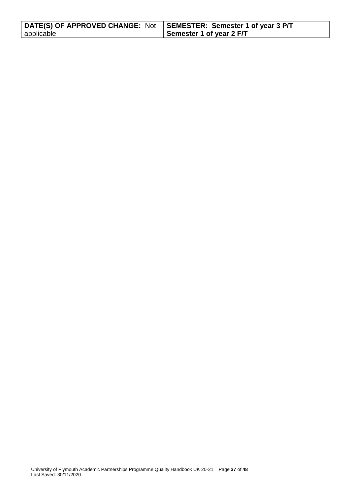| DATE(S) OF APPROVED CHANGE: Not   SEMESTER: Semester 1 of year 3 P/T |                          |
|----------------------------------------------------------------------|--------------------------|
| applicable                                                           | Semester 1 of year 2 F/T |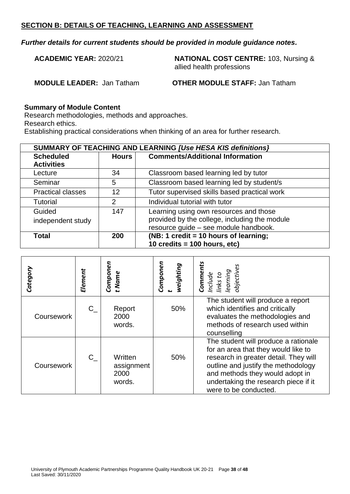#### *Further details for current students should be provided in module guidance notes.*

**ACADEMIC YEAR:** 2020/21 **NATIONAL COST CENTRE:** 103, Nursing & allied health professions

**MODULE LEADER:** Jan Tatham **OTHER MODULE STAFF:** Jan Tatham

#### **Summary of Module Content**

Research methodologies, methods and approaches. Research ethics.

Establishing practical considerations when thinking of an area for further research.

|                          | <b>SUMMARY OF TEACHING AND LEARNING [Use HESA KIS definitions]</b> |                                               |  |  |
|--------------------------|--------------------------------------------------------------------|-----------------------------------------------|--|--|
| <b>Scheduled</b>         | <b>Hours</b>                                                       | <b>Comments/Additional Information</b>        |  |  |
| <b>Activities</b>        |                                                                    |                                               |  |  |
| Lecture                  | 34                                                                 | Classroom based learning led by tutor         |  |  |
| Seminar                  | 5                                                                  | Classroom based learning led by student/s     |  |  |
| <b>Practical classes</b> | 12                                                                 | Tutor supervised skills based practical work  |  |  |
| <b>Tutorial</b>          | 2                                                                  | Individual tutorial with tutor                |  |  |
| Guided                   | 147                                                                | Learning using own resources and those        |  |  |
| independent study        |                                                                    | provided by the college, including the module |  |  |
|                          |                                                                    | resource guide - see module handbook.         |  |  |
| <b>Total</b>             | 200                                                                | (NB: 1 credit = 10 hours of learning;         |  |  |
|                          |                                                                    | 10 credits = $100$ hours, etc)                |  |  |

| Category   | Element | Componen<br>t Name                      | Componen<br>weighting | omments<br>links to<br>learning<br>objective                                                                                                                                                                                                                    |
|------------|---------|-----------------------------------------|-----------------------|-----------------------------------------------------------------------------------------------------------------------------------------------------------------------------------------------------------------------------------------------------------------|
| Coursework | $C_{-}$ | Report<br>2000<br>words.                | 50%                   | The student will produce a report<br>which identifies and critically<br>evaluates the methodologies and<br>methods of research used within<br>counselling                                                                                                       |
| Coursework | $C_{-}$ | Written<br>assignment<br>2000<br>words. | 50%                   | The student will produce a rationale<br>for an area that they would like to<br>research in greater detail. They will<br>outline and justify the methodology<br>and methods they would adopt in<br>undertaking the research piece if it<br>were to be conducted. |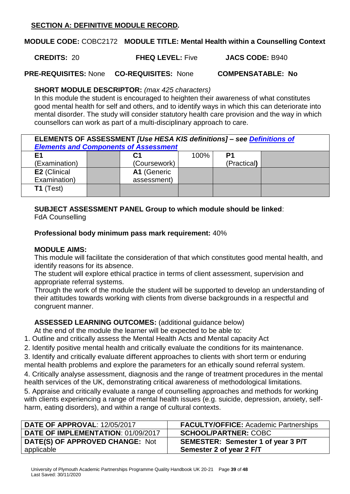# **SECTION A: DEFINITIVE MODULE RECORD***.*

**MODULE CODE:** COBC2172 **MODULE TITLE: Mental Health within a Counselling Context**

**CREDITS:** 20 **FHEQ LEVEL:** Five **JACS CODE:** B940

**PRE-REQUISITES:** None **CO-REQUISITES:** None **COMPENSATABLE: No**

# **SHORT MODULE DESCRIPTOR:** *(max 425 characters)*

In this module the student is encouraged to heighten their awareness of what constitutes good mental health for self and others, and to identify ways in which this can deteriorate into mental disorder. The study will consider statutory health care provision and the way in which counsellors can work as part of a multi-disciplinary approach to care.

| ELEMENTS OF ASSESSMENT [Use HESA KIS definitions] - see Definitions of<br><b>Elements and Components of Assessment</b> |  |              |      |             |  |
|------------------------------------------------------------------------------------------------------------------------|--|--------------|------|-------------|--|
| E1                                                                                                                     |  | C1           | 100% | P1          |  |
| (Examination)                                                                                                          |  | (Coursework) |      | (Practical) |  |
| E2 (Clinical                                                                                                           |  | A1 (Generic  |      |             |  |
| Examination)                                                                                                           |  | assessment)  |      |             |  |
| $T1$ (Test)                                                                                                            |  |              |      |             |  |

# **SUBJECT ASSESSMENT PANEL Group to which module should be linked**:

FdA Counselling

**Professional body minimum pass mark requirement:** 40%

# **MODULE AIMS:**

This module will facilitate the consideration of that which constitutes good mental health, and identify reasons for its absence.

The student will explore ethical practice in terms of client assessment, supervision and appropriate referral systems.

Through the work of the module the student will be supported to develop an understanding of their attitudes towards working with clients from diverse backgrounds in a respectful and congruent manner.

**ASSESSED LEARNING OUTCOMES:** (additional guidance below)

At the end of the module the learner will be expected to be able to:

- 1. Outline and critically assess the Mental Health Acts and Mental capacity Act
- 2. Identify positive mental health and critically evaluate the conditions for its maintenance.

3. Identify and critically evaluate different approaches to clients with short term or enduring mental health problems and explore the parameters for an ethically sound referral system.

4. Critically analyse assessment, diagnosis and the range of treatment procedures in the mental health services of the UK, demonstrating critical awareness of methodological limitations.

5. Appraise and critically evaluate a range of counselling approaches and methods for working with clients experiencing a range of mental health issues (e.g. suicide, depression, anxiety, selfharm, eating disorders), and within a range of cultural contexts.

| <b>DATE OF APPROVAL: 12/05/2017</b> | <b>FACULTY/OFFICE:</b> Academic Partnerships |
|-------------------------------------|----------------------------------------------|
| DATE OF IMPLEMENTATION: 01/09/2017  | <b>SCHOOL/PARTNER: COBC</b>                  |
| DATE(S) OF APPROVED CHANGE: Not     | SEMESTER: Semester 1 of year 3 P/T           |
| applicable                          | Semester 2 of year 2 F/T                     |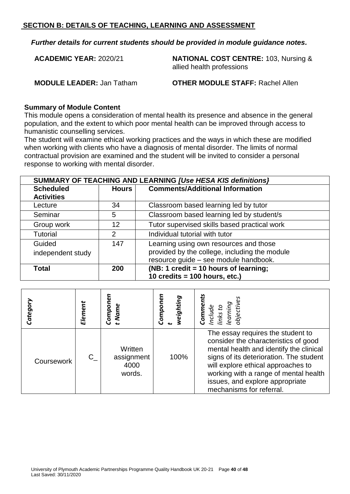*Further details for current students should be provided in module guidance notes.*

**ACADEMIC YEAR:** 2020/21 **NATIONAL COST CENTRE:** 103, Nursing & allied health professions

**MODULE LEADER:** Jan Tatham **OTHER MODULE STAFF:** Rachel Allen

#### **Summary of Module Content**

This module opens a consideration of mental health its presence and absence in the general population, and the extent to which poor mental health can be improved through access to humanistic counselling services.

The student will examine ethical working practices and the ways in which these are modified when working with clients who have a diagnosis of mental disorder. The limits of normal contractual provision are examined and the student will be invited to consider a personal response to working with mental disorder.

|                   | SUMMARY OF TEACHING AND LEARNING [Use HESA KIS definitions] |                                               |  |  |  |
|-------------------|-------------------------------------------------------------|-----------------------------------------------|--|--|--|
| <b>Scheduled</b>  | <b>Comments/Additional Information</b><br><b>Hours</b>      |                                               |  |  |  |
| <b>Activities</b> |                                                             |                                               |  |  |  |
| Lecture           | 34                                                          | Classroom based learning led by tutor         |  |  |  |
| Seminar           | 5                                                           | Classroom based learning led by student/s     |  |  |  |
| Group work        | 12                                                          | Tutor supervised skills based practical work  |  |  |  |
| <b>Tutorial</b>   | 2                                                           | Individual tutorial with tutor                |  |  |  |
| Guided            | 147                                                         | Learning using own resources and those        |  |  |  |
| independent study |                                                             | provided by the college, including the module |  |  |  |
|                   |                                                             | resource guide - see module handbook.         |  |  |  |
| <b>Total</b>      | 200                                                         | (NB: 1 credit = 10 hours of learning;         |  |  |  |
|                   |                                                             | 10 credits = $100$ hours, etc.)               |  |  |  |

| Categor    | Element | Componen<br>t Name                      | Componer<br>weighting | Include<br>links to<br>learning<br>objectives<br>Comme                                                                                                                                                                                                                                                        |
|------------|---------|-----------------------------------------|-----------------------|---------------------------------------------------------------------------------------------------------------------------------------------------------------------------------------------------------------------------------------------------------------------------------------------------------------|
| Coursework | $C_{-}$ | Written<br>assignment<br>4000<br>words. | 100%                  | The essay requires the student to<br>consider the characteristics of good<br>mental health and identify the clinical<br>signs of its deterioration. The student<br>will explore ethical approaches to<br>working with a range of mental health<br>issues, and explore appropriate<br>mechanisms for referral. |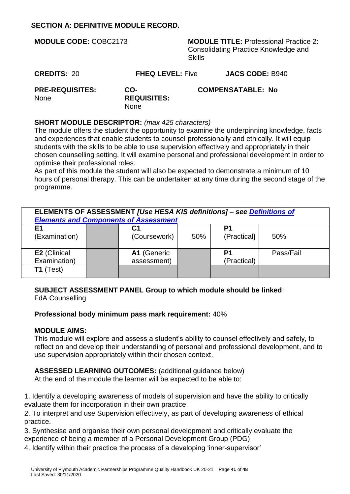# **SECTION A: DEFINITIVE MODULE RECORD***.*

| <b>MODULE CODE: COBC2173</b>                         |                                          | <b>Skills</b> | <b>MODULE TITLE: Professional Practice 2:</b><br>Consolidating Practice Knowledge and |
|------------------------------------------------------|------------------------------------------|---------------|---------------------------------------------------------------------------------------|
| <b>CREDITS: 20</b>                                   | <b>FHEQ LEVEL: Five</b>                  |               | <b>JACS CODE: B940</b>                                                                |
| <b>PRE-REQUISITES:</b><br>None                       | CO-<br><b>REQUISITES:</b><br><b>None</b> |               | <b>COMPENSATABLE: No</b>                                                              |
| <b>SHORT MODULE DESCRIPTOR:</b> (max 425 characters) |                                          |               |                                                                                       |

The module offers the student the opportunity to examine the underpinning knowledge, facts and experiences that enable students to counsel professionally and ethically. It will equip students with the skills to be able to use supervision effectively and appropriately in their chosen counselling setting. It will examine personal and professional development in order to optimise their professional roles.

As part of this module the student will also be expected to demonstrate a minimum of 10 hours of personal therapy. This can be undertaken at any time during the second stage of the programme.

| ELEMENTS OF ASSESSMENT [Use HESA KIS definitions] - see <i>Definitions of</i><br><b>Elements and Components of Assessment</b> |  |              |     |             |           |
|-------------------------------------------------------------------------------------------------------------------------------|--|--------------|-----|-------------|-----------|
| E <sub>1</sub>                                                                                                                |  | С1           |     | P1          |           |
| (Examination)                                                                                                                 |  | (Coursework) | 50% | (Practical) | 50%       |
| <b>E2</b> (Clinical                                                                                                           |  | A1 (Generic  |     | P1          | Pass/Fail |
| Examination)                                                                                                                  |  | assessment)  |     | (Practical) |           |
| $T1$ (Test)                                                                                                                   |  |              |     |             |           |

**SUBJECT ASSESSMENT PANEL Group to which module should be linked**: FdA Counselling

#### **Professional body minimum pass mark requirement:** 40%

#### **MODULE AIMS:**

This module will explore and assess a student's ability to counsel effectively and safely, to reflect on and develop their understanding of personal and professional development, and to use supervision appropriately within their chosen context.

**ASSESSED LEARNING OUTCOMES:** (additional guidance below) At the end of the module the learner will be expected to be able to:

1. Identify a developing awareness of models of supervision and have the ability to critically evaluate them for incorporation in their own practice.

2. To interpret and use Supervision effectively, as part of developing awareness of ethical practice.

3. Synthesise and organise their own personal development and critically evaluate the experience of being a member of a Personal Development Group (PDG)

4. Identify within their practice the process of a developing 'inner-supervisor'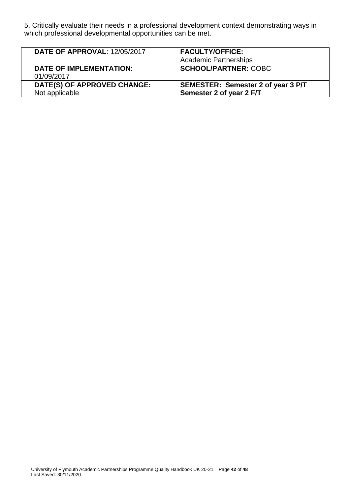5. Critically evaluate their needs in a professional development context demonstrating ways in which professional developmental opportunities can be met.

| <b>DATE OF APPROVAL: 12/05/2017</b>           | <b>FACULTY/OFFICE:</b><br><b>Academic Partnerships</b>         |
|-----------------------------------------------|----------------------------------------------------------------|
| <b>DATE OF IMPLEMENTATION:</b><br>01/09/2017  | <b>SCHOOL/PARTNER: COBC</b>                                    |
| DATE(S) OF APPROVED CHANGE:<br>Not applicable | SEMESTER: Semester 2 of year 3 P/T<br>Semester 2 of year 2 F/T |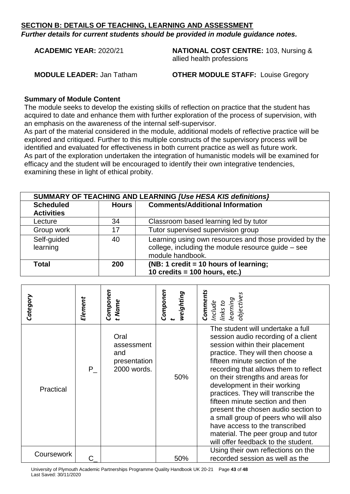*Further details for current students should be provided in module guidance notes.*

**ACADEMIC YEAR:** 2020/21 **NATIONAL COST CENTRE:** 103, Nursing & allied health professions

**MODULE LEADER:** Jan Tatham **OTHER MODULE STAFF:** Louise Gregory

#### **Summary of Module Content**

The module seeks to develop the existing skills of reflection on practice that the student has acquired to date and enhance them with further exploration of the process of supervision, with an emphasis on the awareness of the internal self-supervisor.

As part of the material considered in the module, additional models of reflective practice will be explored and critiqued. Further to this multiple constructs of the supervisory process will be identified and evaluated for effectiveness in both current practice as well as future work. As part of the exploration undertaken the integration of humanistic models will be examined for efficacy and the student will be encouraged to identify their own integrative tendencies, examining these in light of ethical probity.

| <b>SUMMARY OF TEACHING AND LEARNING [Use HESA KIS definitions]</b> |       |                                                                                                                                  |  |  |
|--------------------------------------------------------------------|-------|----------------------------------------------------------------------------------------------------------------------------------|--|--|
| <b>Scheduled</b>                                                   | Hours | <b>Comments/Additional Information</b>                                                                                           |  |  |
| <b>Activities</b>                                                  |       |                                                                                                                                  |  |  |
| Lecture                                                            | 34    | Classroom based learning led by tutor                                                                                            |  |  |
| Group work                                                         | 17    | Tutor supervised supervision group                                                                                               |  |  |
| Self-guided<br>learning                                            | 40    | Learning using own resources and those provided by the<br>college, including the module resource guide - see<br>module handbook. |  |  |
| Total                                                              | 200   | (NB: 1 credit = 10 hours of learning;                                                                                            |  |  |
|                                                                    |       | 10 credits = $100$ hours, etc.)                                                                                                  |  |  |

| Category   | Element | Componen<br>t Name                                       | Componen<br>weighting | Comments<br>objectives<br>Include<br>links to<br>learning                                                                                                                                                                                                                                                                                                                                                                                                                                                                                                             |
|------------|---------|----------------------------------------------------------|-----------------------|-----------------------------------------------------------------------------------------------------------------------------------------------------------------------------------------------------------------------------------------------------------------------------------------------------------------------------------------------------------------------------------------------------------------------------------------------------------------------------------------------------------------------------------------------------------------------|
| Practical  | P       | Oral<br>assessment<br>and<br>presentation<br>2000 words. | 50%                   | The student will undertake a full<br>session audio recording of a client<br>session within their placement<br>practice. They will then choose a<br>fifteen minute section of the<br>recording that allows them to reflect<br>on their strengths and areas for<br>development in their working<br>practices. They will transcribe the<br>fifteen minute section and then<br>present the chosen audio section to<br>a small group of peers who will also<br>have access to the transcribed<br>material. The peer group and tutor<br>will offer feedback to the student. |
| Coursework |         |                                                          | 50%                   | Using their own reflections on the<br>recorded session as well as the                                                                                                                                                                                                                                                                                                                                                                                                                                                                                                 |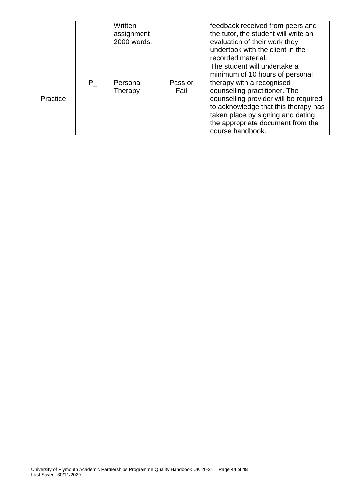|          |                    | Written     |         | feedback received from peers and      |
|----------|--------------------|-------------|---------|---------------------------------------|
|          |                    | assignment  |         | the tutor, the student will write an  |
|          |                    | 2000 words. |         | evaluation of their work they         |
|          |                    |             |         | undertook with the client in the      |
|          |                    |             |         | recorded material.                    |
|          |                    |             |         | The student will undertake a          |
|          |                    |             |         | minimum of 10 hours of personal       |
|          | $\mathsf{P}_\perp$ | Personal    | Pass or | therapy with a recognised             |
|          |                    | Therapy     | Fail    | counselling practitioner. The         |
| Practice |                    |             |         | counselling provider will be required |
|          |                    |             |         | to acknowledge that this therapy has  |
|          |                    |             |         | taken place by signing and dating     |
|          |                    |             |         | the appropriate document from the     |
|          |                    |             |         | course handbook.                      |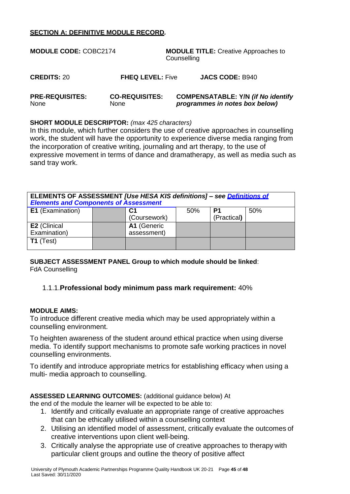#### **SECTION A: DEFINITIVE MODULE RECORD***.*

| <b>MODULE CODE: COBC2174</b>   |                                      | <b>MODULE TITLE:</b> Creative Approaches to<br>Counselling                  |  |  |
|--------------------------------|--------------------------------------|-----------------------------------------------------------------------------|--|--|
| <b>CREDITS: 20</b>             | <b>FHEQ LEVEL: Five</b>              | <b>JACS CODE: B940</b>                                                      |  |  |
| <b>PRE-REQUISITES:</b><br>None | <b>CO-REQUISITES:</b><br><b>None</b> | <b>COMPENSATABLE: Y/N (if No identify</b><br>programmes in notes box below) |  |  |

#### **SHORT MODULE DESCRIPTOR:** *(max 425 characters)*

In this module, which further considers the use of creative approaches in counselling work, the student will have the opportunity to experience diverse media ranging from the incorporation of creative writing, journaling and art therapy, to the use of expressive movement in terms of dance and dramatherapy, as well as media such as sand tray work.

| ELEMENTS OF ASSESSMENT [Use HESA KIS definitions] - see Definitions of<br><b>Elements and Components of Assessment</b> |  |                            |     |                   |     |
|------------------------------------------------------------------------------------------------------------------------|--|----------------------------|-----|-------------------|-----|
| E1 (Examination)                                                                                                       |  | (Coursework)               | 50% | P1<br>(Practical) | 50% |
| E2 (Clinical<br>Examination)                                                                                           |  | A1 (Generic<br>assessment) |     |                   |     |
| $T1$ (Test)                                                                                                            |  |                            |     |                   |     |

**SUBJECT ASSESSMENT PANEL Group to which module should be linked**: FdA Counselling

#### 1.1.1.**Professional body minimum pass mark requirement:** 40%

#### **MODULE AIMS:**

To introduce different creative media which may be used appropriately within a counselling environment.

To heighten awareness of the student around ethical practice when using diverse media. To identify support mechanisms to promote safe working practices in novel counselling environments.

To identify and introduce appropriate metrics for establishing efficacy when using a multi- media approach to counselling.

#### **ASSESSED LEARNING OUTCOMES:** (additional guidance below) At

the end of the module the learner will be expected to be able to:

- 1. Identify and critically evaluate an appropriate range of creative approaches that can be ethically utilised within a counselling context
- 2. Utilising an identified model of assessment, critically evaluate the outcomes of creative interventions upon client well-being.
- 3. Critically analyse the appropriate use of creative approaches to therapy with particular client groups and outline the theory of positive affect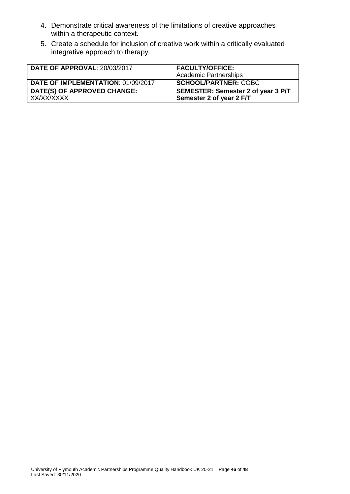- 4. Demonstrate critical awareness of the limitations of creative approaches within a therapeutic context.
- 5. Create a schedule for inclusion of creative work within a critically evaluated integrative approach to therapy.

| <b>DATE OF APPROVAL: 20/03/2017</b>       | <b>FACULTY/OFFICE:</b><br><b>Academic Partnerships</b>         |
|-------------------------------------------|----------------------------------------------------------------|
| DATE OF IMPLEMENTATION: 01/09/2017        | <b>SCHOOL/PARTNER: COBC</b>                                    |
| DATE(S) OF APPROVED CHANGE:<br>XX/XX/XXXX | SEMESTER: Semester 2 of year 3 P/T<br>Semester 2 of year 2 F/T |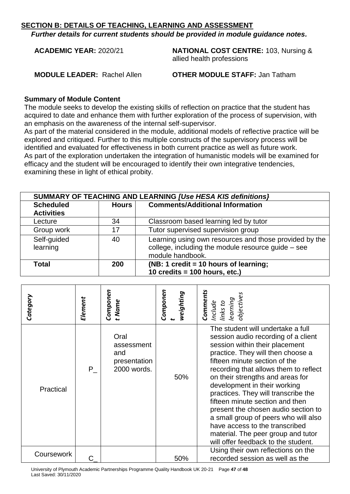*Further details for current students should be provided in module guidance notes.*

**ACADEMIC YEAR:** 2020/21 **NATIONAL COST CENTRE:** 103, Nursing & allied health professions

**MODULE LEADER:** Rachel Allen **OTHER MODULE STAFF:** Jan Tatham

#### **Summary of Module Content**

The module seeks to develop the existing skills of reflection on practice that the student has acquired to date and enhance them with further exploration of the process of supervision, with an emphasis on the awareness of the internal self-supervisor.

As part of the material considered in the module, additional models of reflective practice will be explored and critiqued. Further to this multiple constructs of the supervisory process will be identified and evaluated for effectiveness in both current practice as well as future work. As part of the exploration undertaken the integration of humanistic models will be examined for efficacy and the student will be encouraged to identify their own integrative tendencies, examining these in light of ethical probity.

| <b>SUMMARY OF TEACHING AND LEARNING [Use HESA KIS definitions]</b> |       |                                                                                                                                  |  |  |
|--------------------------------------------------------------------|-------|----------------------------------------------------------------------------------------------------------------------------------|--|--|
| <b>Scheduled</b>                                                   | Hours | <b>Comments/Additional Information</b>                                                                                           |  |  |
| <b>Activities</b>                                                  |       |                                                                                                                                  |  |  |
| Lecture                                                            | 34    | Classroom based learning led by tutor                                                                                            |  |  |
| Group work                                                         | 17    | Tutor supervised supervision group                                                                                               |  |  |
| Self-guided<br>learning                                            | 40    | Learning using own resources and those provided by the<br>college, including the module resource guide - see<br>module handbook. |  |  |
| Total                                                              | 200   | (NB: 1 credit = 10 hours of learning;                                                                                            |  |  |
|                                                                    |       | 10 credits = $100$ hours, etc.)                                                                                                  |  |  |

| Category   | Element | Componen<br>t Name                                       | Componen<br>weighting | Comments<br>objectives<br>Include<br>links to<br>learning                                                                                                                                                                                                                                                                                                                                                                                                                                                                                                             |
|------------|---------|----------------------------------------------------------|-----------------------|-----------------------------------------------------------------------------------------------------------------------------------------------------------------------------------------------------------------------------------------------------------------------------------------------------------------------------------------------------------------------------------------------------------------------------------------------------------------------------------------------------------------------------------------------------------------------|
| Practical  | P       | Oral<br>assessment<br>and<br>presentation<br>2000 words. | 50%                   | The student will undertake a full<br>session audio recording of a client<br>session within their placement<br>practice. They will then choose a<br>fifteen minute section of the<br>recording that allows them to reflect<br>on their strengths and areas for<br>development in their working<br>practices. They will transcribe the<br>fifteen minute section and then<br>present the chosen audio section to<br>a small group of peers who will also<br>have access to the transcribed<br>material. The peer group and tutor<br>will offer feedback to the student. |
| Coursework |         |                                                          | 50%                   | Using their own reflections on the<br>recorded session as well as the                                                                                                                                                                                                                                                                                                                                                                                                                                                                                                 |